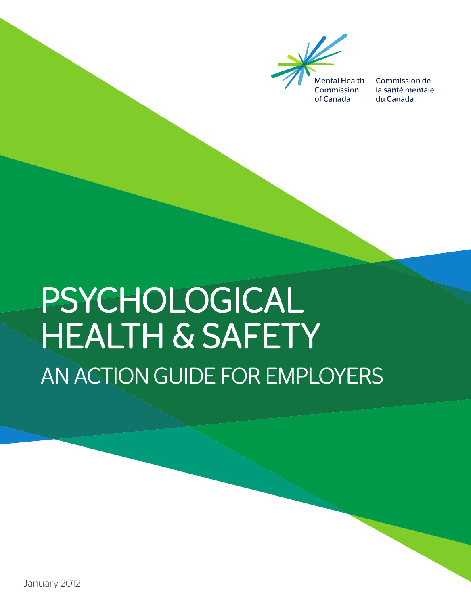

Commission de la santé mentale du Canada

# PSYCHOLOGICAL HEALTH & SAFETY AN ACTION GUIDE FOR EMPLOYERS

January 2012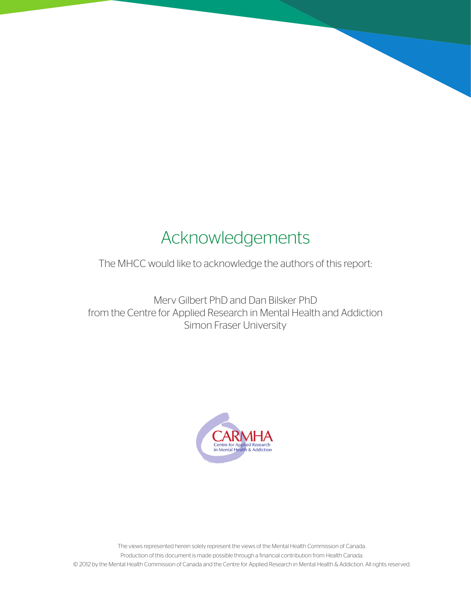# Acknowledgements

The MHCC would like to acknowledge the authors of this report:

Merv Gilbert PhD and Dan Bilsker PhD from the Centre for Applied Research in Mental Health and Addiction Simon Fraser University

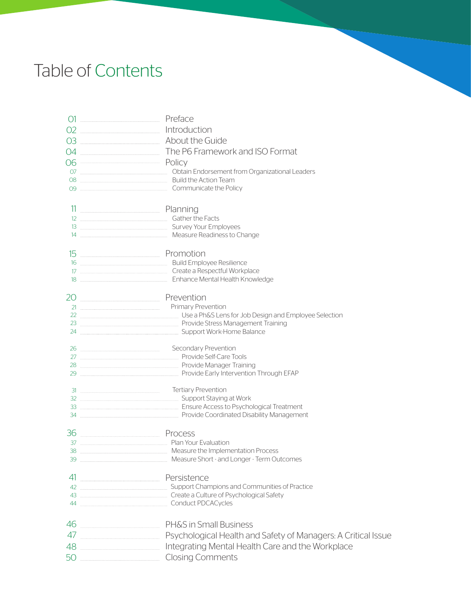# Table of Contents

|    | 01 <u>- Preface</u>                                                                        |
|----|--------------------------------------------------------------------------------------------|
|    | 02 Introduction                                                                            |
|    |                                                                                            |
| 04 | The P6 Framework and ISO Format                                                            |
|    | 06 Policy                                                                                  |
|    | 07 __________________________________ Obtain Endorsement from Organizational Leaders       |
|    |                                                                                            |
|    |                                                                                            |
|    |                                                                                            |
|    | 12 <b>Marshall Report Food Section</b> Gather the Facts                                    |
|    |                                                                                            |
|    | 14 Measure Readiness to Change                                                             |
|    |                                                                                            |
|    |                                                                                            |
|    |                                                                                            |
|    | 20 Prevention                                                                              |
|    |                                                                                            |
|    |                                                                                            |
|    |                                                                                            |
|    |                                                                                            |
|    | 26 Marshall Secondary Prevention                                                           |
|    | 28 <b>Manager Training</b> Provide Manager Training                                        |
|    | 29 <b>Marine 29</b> Provide Early Intervention Through EFAP                                |
|    |                                                                                            |
|    |                                                                                            |
|    | 34 <b>Management</b> Provide Coordinated Disability Management                             |
|    |                                                                                            |
|    | 36 Process                                                                                 |
|    | 37 <b>Married Plan Your Evaluation</b>                                                     |
|    | Measure the Implementation Process<br>39 <b>Measure Short - and Longer - Term Outcomes</b> |
|    |                                                                                            |
|    | 41 Persistence                                                                             |
|    |                                                                                            |
|    | 43 <b>Marson Create a Culture of Psychological Safety</b>                                  |
|    |                                                                                            |
|    | 46 PH&S in Small Business                                                                  |
|    |                                                                                            |
|    | 48 ____________________________ Integrating Mental Health Care and the Workplace           |
|    | 50 Closing Comments                                                                        |
|    |                                                                                            |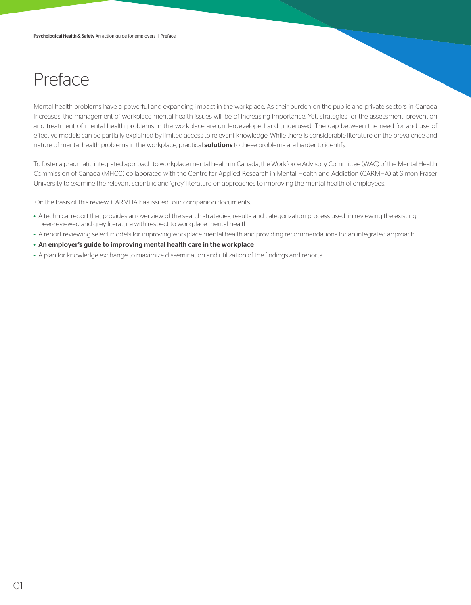## Preface

Mental health problems have a powerful and expanding impact in the workplace. As their burden on the public and private sectors in Canada increases, the management of workplace mental health issues will be of increasing importance. Yet, strategies for the assessment, prevention and treatment of mental health problems in the workplace are underdeveloped and underused. The gap between the need for and use of effective models can be partially explained by limited access to relevant knowledge. While there is considerable literature on the prevalence and nature of mental health problems in the workplace, practical **solutions** to these problems are harder to identify.

To foster a pragmatic integrated approach to workplace mental health in Canada, the Workforce Advisory Committee (WAC) of the Mental Health Commission of Canada (MHCC) collaborated with the Centre for Applied Research in Mental Health and Addiction (CARMHA) at Simon Fraser University to examine the relevant scientific and 'grey' literature on approaches to improving the mental health of employees.

On the basis of this review, CARMHA has issued four companion documents:

- A technical report that provides an overview of the search strategies, results and categorization process used in reviewing the existing peer-reviewed and grey literature with respect to workplace mental health
- A report reviewing select models for improving workplace mental health and providing recommendations for an integrated approach
- An employer's guide to improving mental health care in the workplace
- A plan for knowledge exchange to maximize dissemination and utilization of the findings and reports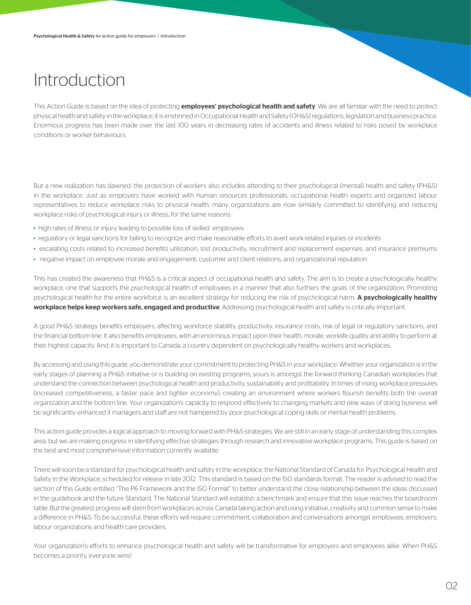## Introduction

This Action Guide is based on the idea of protecting *employees' psychological health and safety*. We are all familiar with the need to protect physical health and safety in the workplace; it is enshrined in Occupational Health and Safety (OH&S) regulations, legislation and business practice. Enormous progress has been made over the last 100 years in decreasing rates of accidents and illness related to risks posed by workplace conditions or worker behaviours.

But a new realization has dawned: the protection of workers also includes attending to their psychological (mental) health and safety (PH&S) in the workplace. Just as employers have worked with human resources professionals, occupational health experts and organized labour representatives to reduce workplace risks to physical health, many organizations are now similarly committed to identifying and reducing workplace risks of psychological injury or illness, for the same reasons:

- high rates of illness or injury leading to possible loss of skilled employees
- regulatory or legal sanctions for failing to recognize and make reasonable efforts to avert work-related injuries or incidents
- escalating costs related to increased benefits utilization, lost productivity, recruitment and replacement expenses, and insurance premiums
- negative impact on employee morale and engagement, customer and client relations, and organizational reputation

This has created the awareness that PH&S is a critical aspect of occupational health and safety. The aim is to create a psychologically healthy workplace, one that supports the psychological health of employees in a manner that also furthers the goals of the organization. Promoting psychological health for the entire workforce is an excellent strategy for reducing the risk of psychological harm. A psychologically healthy workplace helps keep workers safe, engaged and productive. Addressing psychological health and safety is critically important.

A good PH&S strategy benefits employers, affecting workforce stability, productivity, insurance costs, risk of legal or regulatory sanctions, and the financial bottom line. It also benefits employees, with an enormous impact upon their health, morale, worklife quality and ability to perform at their highest capacity. And, it is important to Canada, a country dependent on psychologically healthy workers and workplaces.

By accessing and using this guide, you demonstrate your commitment to protecting PH&S in your workplace. Whether your organization is in the early stages of planning a PH&S initiative or is building on existing programs, yours is amongst the forward-thinking Canadian workplaces that understand the connection between psychological health and productivity, sustainability and profitability. In times of rising workplace pressures (increased competitiveness, a faster pace and tighter economy), creating an environment where workers flourish benefits both the overall organization and the bottom line. Your organization's capacity to respond effectively to changing markets and new ways of doing business will be significantly enhanced if managers and staff are not hampered by poor psychological coping skills or mental health problems.

This action guide provides a logical approach to moving forward with PH&S strategies. We are still in an early stage of understanding this complex area, but we are making progress in identifying effective strategies through research and innovative workplace programs. This guide is based on the best and most comprehensive information currently available.

There will soon be a standard for psychological health and safety in the workplace, the National Standard of Canada for Psychological Health and Safety in the Workplace, scheduled for release in late 2012. This standard is based on the ISO standards format. The reader is advised to read the section of this Guide entitled "The P6 Framework and the ISO Format" to better understand the close relationship between the ideas discussed in the guidebook and the future Standard. The National Standard will establish a benchmark and ensure that this issue reaches the boardroom table. But the greatest progress will stem from workplaces across Canada taking action and using initiative, creativity and common sense to make a difference in PH&S. To be successful, these efforts will require commitment, collaboration and conversations amongst employees, employers, labour organizations and health care providers.

Your organization's efforts to enhance psychological health and safety will be transformative for employers and employees alike. When PH&S becomes a priority, everyone wins!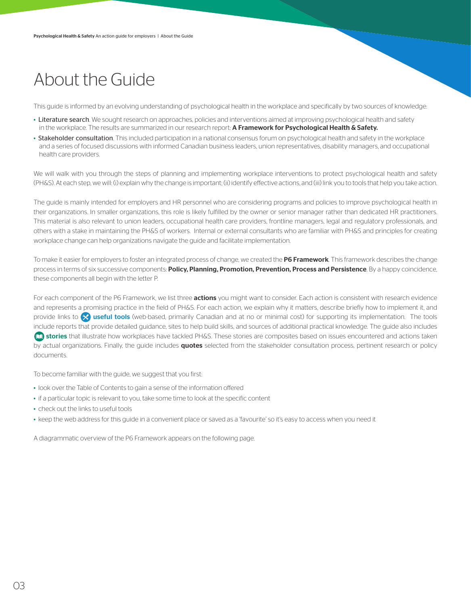## About the Guide

This guide is informed by an evolving understanding of psychological health in the workplace and specifically by two sources of knowledge:

- Literature search. We sought research on approaches, policies and interventions aimed at improving psychological health and safety in the workplace. The results are summarized in our research report: A Framework for Psychological Health & Safety.
- Stakeholder consultation. This included participation in a national consensus forum on psychological health and safety in the workplace and a series of focused discussions with informed Canadian business leaders, union representatives, disability managers, and occupational health care providers.

We will walk with you through the steps of planning and implementing workplace interventions to protect psychological health and safety (PH&S). At each step, we will: (i) explain why the change is important; (ii) identify effective actions, and (iii) link you to tools that help you take action.

The guide is mainly intended for employers and HR personnel who are considering programs and policies to improve psychological health in their organizations. In smaller organizations, this role is likely fulfilled by the owner or senior manager rather than dedicated HR practitioners. This material is also relevant to union leaders, occupational health care providers, frontline managers, legal and regulatory professionals, and others with a stake in maintaining the PH&S of workers. Internal or external consultants who are familiar with PH&S and principles for creating workplace change can help organizations navigate the guide and facilitate implementation.

To make it easier for employers to foster an integrated process of change, we created the P6 Framework. This framework describes the change process in terms of six successive components: Policy, Planning, Promotion, Prevention, Process and Persistence. By a happy coincidence, these components all begin with the letter P.

For each component of the P6 Framework, we list three actions you might want to consider. Each action is consistent with research evidence and represents a promising practice in the field of PH&S. For each action, we explain why it matters, describe briefly how to implement it, and provide links to  $\otimes$  useful tools (web-based, primarily Canadian and at no or minimal cost) for supporting its implementation. The tools include reports that provide detailed guidance, sites to help build skills, and sources of additional practical knowledge. The guide also includes stories that illustrate how workplaces have tackled PH&S. These stories are composites based on issues encountered and actions taken by actual organizations. Finally, the guide includes quotes selected from the stakeholder consultation process, pertinent research or policy documents.

To become familiar with the guide, we suggest that you first:

- look over the Table of Contents to gain a sense of the information offered
- if a particular topic is relevant to you, take some time to look at the specific content
- check out the links to useful tools
- keep the web address for this guide in a convenient place or saved as a 'favourite' so it's easy to access when you need it

A diagrammatic overview of the P6 Framework appears on the following page.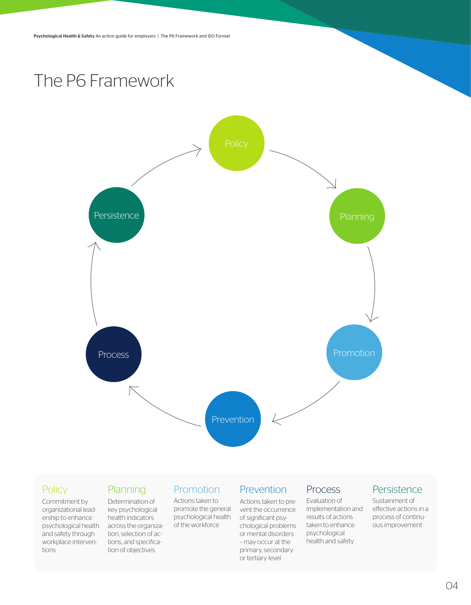## The P6 Framework



### **Policy**

#### Commitment by organizational leadership to enhance psychological health across the organizaand safety through workplace interventions

### Planning

Determination of key psychological health indicators tion, selection of actions, and specification of objectives

### **Promotion**

Actions taken to promote the general psychological health of the workforce

### Prevention

Actions taken to prevent the occurrence of significant psychological problems or mental disorders – may occur at the primary, secondary or tertiary level

### Process

Evaluation of implementation and results of actions taken to enhance psychological health and safety

### Persistence

Sustainment of effective actions in a process of continuous improvement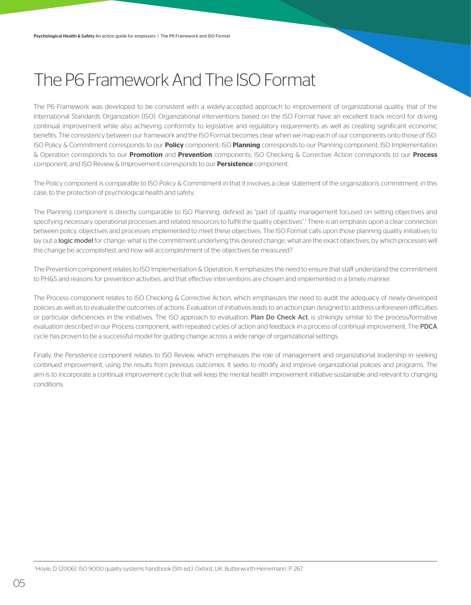## The P6 Framework And The ISO Format

The P6 Framework was developed to be consistent with a widely-accepted approach to improvement of organizational quality, that of the International Standards Organization (ISO). Organizational interventions based on the ISO Format have an excellent track record for driving continual improvement while also achieving conformity to legislative and regulatory requirements as well as creating significant economic benefits. The consistency between our framework and the ISO Format becomes clear when we map each of our components onto those of ISO: ISO Policy & Commitment corresponds to our **Policy** component; ISO Planning corresponds to our Planning component; ISO Implementation & Operation corresponds to our **Promotion** and **Prevention** components; ISO Checking & Corrective Action corresponds to our **Process** component; and ISO Review & Improvement corresponds to our **Persistence** component.

The Policy component is comparable to ISO Policy & Commitment in that it involves a clear statement of the organization's commitment; in this case, to the protection of psychological health and safety.

The Planning component is directly comparable to ISO Planning, defined as "part of quality management focused on setting objectives and specifying necessary operational processes and related resources to fulfill the quality objectives". There is an emphasis upon a clear connection between policy, objectives and processes implemented to meet these objectives. The ISO Format calls upon those planning quality initiatives to lay out a logic model for change: what is the commitment underlying this desired change, what are the exact objectives, by which processes will the change be accomplished, and how will accomplishment of the objectives be measured?

The Prevention component relates to ISO Implementation & Operation. It emphasizes the need to ensure that staff understand the commitment to PH&S and reasons for prevention activities, and that effective interventions are chosen and implemented in a timely manner.

The Process component relates to ISO Checking & Corrective Action, which emphasizes the need to audit the adequacy of newly-developed policies as well as to evaluate the outcomes of actions. Evaluation of initiatives leads to an action plan designed to address unforeseen difficulties or particular deficiencies in the initiatives. The ISO approach to evaluation, Plan Do Check Act, is strikingly similar to the process/formative evaluation described in our Process component, with repeated cycles of action and feedback in a process of continual improvement. The PDCA cycle has proven to be a successful model for guiding change across a wide range of organizational settings.

Finally, the Persistence component relates to ISO Review, which emphasizes the role of management and organizational leadership in seeking continued improvement, using the results from previous outcomes. It seeks to modify and improve organizational policies and programs. The aim is to incorporate a continual improvement cycle that will keep the mental health improvement initiative sustainable and relevant to changing conditions.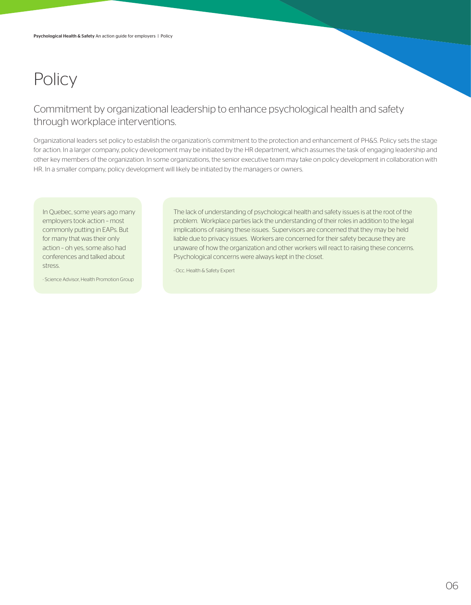## **Policy**

### Commitment by organizational leadership to enhance psychological health and safety through workplace interventions.

Organizational leaders set policy to establish the organization's commitment to the protection and enhancement of PH&S. Policy sets the stage for action. In a larger company, policy development may be initiated by the HR department, which assumes the task of engaging leadership and other key members of the organization. In some organizations, the senior executive team may take on policy development in collaboration with HR. In a smaller company, policy development will likely be initiated by the managers or owners.

In Quebec, some years ago many employers took action – most commonly putting in EAPs. But for many that was their only action – oh yes, some also had conferences and talked about stress.

- Science Advisor, Health Promotion Group

The lack of understanding of psychological health and safety issues is at the root of the problem. Workplace parties lack the understanding of their roles in addition to the legal implications of raising these issues. Supervisors are concerned that they may be held liable due to privacy issues. Workers are concerned for their safety because they are unaware of how the organization and other workers will react to raising these concerns. Psychological concerns were always kept in the closet.

- Occ. Health & Safety Expert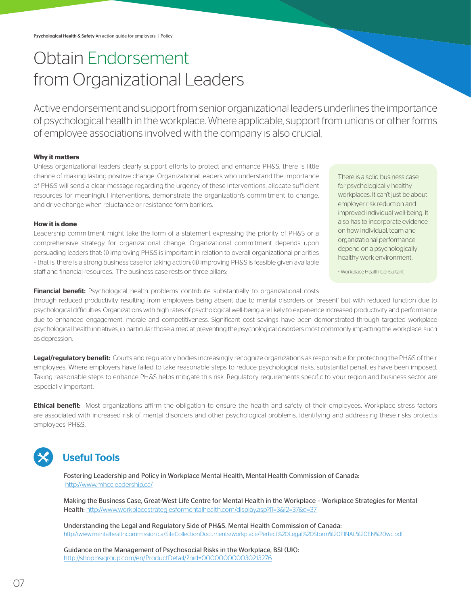## Obtain Endorsement from Organizational Leaders

Active endorsement and support from senior organizational leaders underlines the importance of psychological health in the workplace. Where applicable, support from unions or other forms of employee associations involved with the company is also crucial.

#### **Why it matters**

Unless organizational leaders clearly support efforts to protect and enhance PH&S, there is little chance of making lasting positive change. Organizational leaders who understand the importance of PH&S will send a clear message regarding the urgency of these interventions, allocate sufficient resources for meaningful interventions, demonstrate the organization's commitment to change, and drive change when reluctance or resistance form barriers.

#### **How it is done**

Leadership commitment might take the form of a statement expressing the priority of PH&S or a comprehensive strategy for organizational change. Organizational commitment depends upon persuading leaders that: (i) improving PH&S is important in relation to overall organizational priorities – that is, there is a strong business case for taking action; (ii) improving PH&S is feasible given available staff and financial resources. The business case rests on three pillars:

There is a solid business case for psychologically healthy workplaces. It can't just be about employer risk reduction and improved individual well-being. It also has to incorporate evidence on how individual, team and organizational performance depend on a psychologically healthy work environment.

- Workplace Health Consultant

Financial benefit: Psychological health problems contribute substantially to organizational costs

through reduced productivity resulting from employees being absent due to mental disorders or 'present' but with reduced function due to psychological difficulties. Organizations with high rates of psychological well-being are likely to experience increased productivity and performance due to enhanced engagement, morale and competitiveness. Significant cost savings have been demonstrated through targeted workplace psychological health initiatives, in particular those aimed at preventing the psychological disorders most commonly impacting the workplace, such as depression.

Legal/regulatory benefit: Courts and regulatory bodies increasingly recognize organizations as responsible for protecting the PH&S of their employees. Where employers have failed to take reasonable steps to reduce psychological risks, substantial penalties have been imposed. Taking reasonable steps to enhance PH&S helps mitigate this risk. Regulatory requirements specific to your region and business sector are especially important.

Ethical benefit: Most organizations affirm the obligation to ensure the health and safety of their employees. Workplace stress factors are associated with increased risk of mental disorders and other psychological problems. Identifying and addressing these risks protects employees' PH&S.

### Useful Tools

Fostering Leadership and Policy in Workplace Mental Health, Mental Health Commission of Canada: http://www.mhccleadership.ca/

Making the Business Case, Great-West Life Centre for Mental Health in the Workplace – Workplace Strategies for Mental Health: http://www.workplacestrategiesformentalhealth.com/display.asp?|1=3&|2=37&d=37

Understanding the Legal and Regulatory Side of PH&S. Mental Health Commission of Canada: http://www.mentalhealthcommission.ca/SiteCollectionDocuments/workplace/Perfect%20Legal%20Storm%20FINAL%20EN%20wc.pdf

Guidance on the Management of Psychosocial Risks in the Workplace, BSI (UK): http://shop.bsigroup.com/en/ProductDetail/?pid=000000000030213276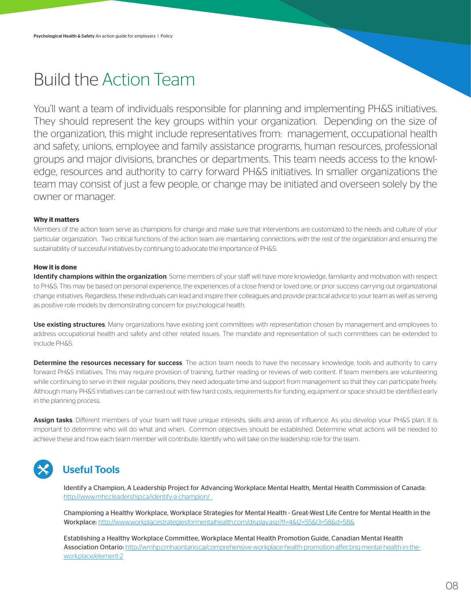## Build the Action Team

You'll want a team of individuals responsible for planning and implementing PH&S initiatives. They should represent the key groups within your organization. Depending on the size of the organization, this might include representatives from: management, occupational health and safety, unions, employee and family assistance programs, human resources, professional groups and major divisions, branches or departments. This team needs access to the knowledge, resources and authority to carry forward PH&S initiatives. In smaller organizations the team may consist of just a few people, or change may be initiated and overseen solely by the owner or manager.

#### **Why it matters**

Members of the action team serve as champions for change and make sure that interventions are customized to the needs and culture of your particular organization. Two critical functions of the action team are maintaining connections with the rest of the organization and ensuring the sustainability of successful initiatives by continuing to advocate the importance of PH&S.

#### **How it is done**

Identify champions within the organization. Some members of your staff will have more knowledge, familiarity and motivation with respect to PH&S. This may be based on personal experience, the experiences of a close friend or loved one, or prior success carrying out organizational change initiatives. Regardless, these individuals can lead and inspire their colleagues and provide practical advice to your team as well as serving as positive role models by demonstrating concern for psychological health.

Use existing structures. Many organizations have existing joint committees with representation chosen by management and employees to address occupational health and safety and other related issues. The mandate and representation of such committees can be extended to include PH&S.

Determine the resources necessary for success. The action team needs to have the necessary knowledge, tools and authority to carry forward PH&S initiatives. This may require provision of training, further reading or reviews of web content. If team members are volunteering while continuing to serve in their regular positions, they need adequate time and support from management so that they can participate freely. Although many PH&S initiatives can be carried out with few hard costs, requirements for funding, equipment or space should be identified early in the planning process.

Assign tasks. Different members of your team will have unique interests, skills and areas of influence. As you develop your PH&S plan, it is important to determine who will do what and when. Common objectives should be established. Determine what actions will be needed to achieve these and how each team member will contribute. Identify who will take on the leadership role for the team.

### Useful Tools

Identify a Champion, A Leadership Project for Advancing Workplace Mental Health, Mental Health Commission of Canada: http://www.mhccleadership.ca/identify-a-champion/

Championing a Healthy Workplace, Workplace Strategies for Mental Health - Great-West Life Centre for Mental Health in the Workplace: http://www.workplacestrategiesformentalhealth.com/display.asp?l1=4&l2=55&l3=58&d=58&

Establishing a Healthy Workplace Committee, Workplace Mental Health Promotion Guide, Canadian Mental Health Association Ontario: http://wmhp.cmhaontario.ca/comprehensive-workplace-health-promotion-affecting-mental-health-in-theworkplace/element-2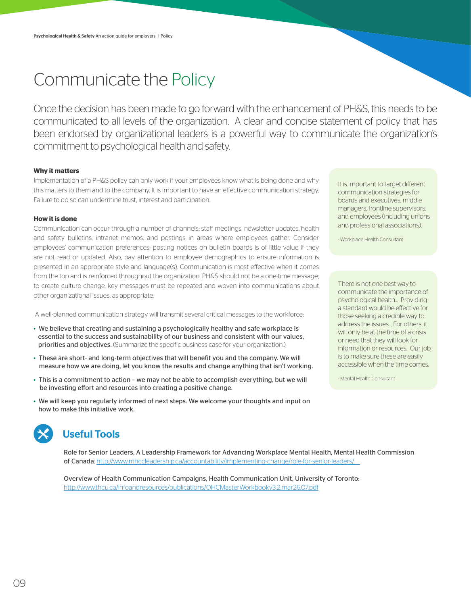## Communicate the Policy

Once the decision has been made to go forward with the enhancement of PH&S, this needs to be communicated to all levels of the organization. A clear and concise statement of policy that has been endorsed by organizational leaders is a powerful way to communicate the organization's commitment to psychological health and safety.

#### **Why it matters**

Implementation of a PH&S policy can only work if your employees know what is being done and why this matters to them and to the company. It is important to have an effective communication strategy. Failure to do so can undermine trust, interest and participation.

#### **How it is done**

Communication can occur through a number of channels: staff meetings, newsletter updates, health and safety bulletins, intranet memos, and postings in areas where employees gather. Consider employees' communication preferences; posting notices on bulletin boards is of little value if they are not read or updated. Also, pay attention to employee demographics to ensure information is presented in an appropriate style and language(s). Communication is most effective when it comes from the top and is reinforced throughout the organization. PH&S should not be a one-time message; to create culture change, key messages must be repeated and woven into communications about other organizational issues, as appropriate.

A well-planned communication strategy will transmit several critical messages to the workforce:

- We believe that creating and sustaining a psychologically healthy and safe workplace is essential to the success and sustainability of our business and consistent with our values, priorities and objectives. (Summarize the specific business case for your organization.)
- These are short- and long-term objectives that will benefit you and the company. We will measure how we are doing, let you know the results and change anything that isn't working.
- This is a commitment to action we may not be able to accomplish everything, but we will be investing effort and resources into creating a positive change.
- We will keep you regularly informed of next steps. We welcome your thoughts and input on how to make this initiative work.



### Useful Tools

Role for Senior Leaders, A Leadership Framework for Advancing Workplace Mental Health, Mental Health Commission of Canada: http://www.mhccleadership.ca/accountability/implementing-change/role-for-senior-leaders/

Overview of Health Communication Campaigns, Health Communication Unit, University of Toronto: http://www.thcu.ca/infoandresources/publications/OHCMasterWorkbookv3.2.mar26.07.pdf

It is important to target different communication strategies for boards and executives, middle managers, frontline supervisors, and employees (including unions and professional associations).

- Workplace Health Consultant

There is not one best way to communicate the importance of psychological health... Providing a standard would be effective for those seeking a credible way to address the issues… For others, it will only be at the time of a crisis or need that they will look for information or resources. Our job is to make sure these are easily accessible when the time comes.

- Mental Health Consultant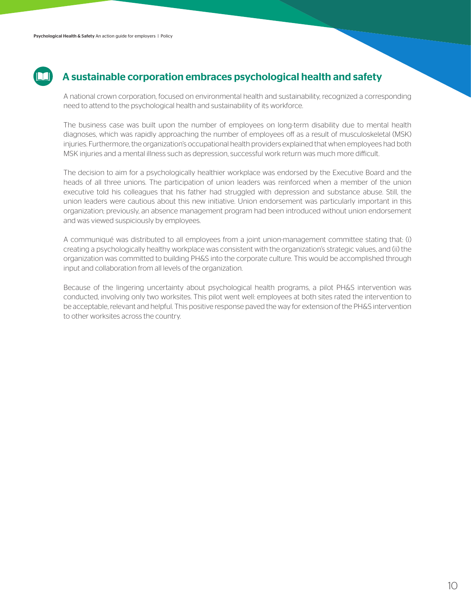

### A sustainable corporation embraces psychological health and safety

A national crown corporation, focused on environmental health and sustainability, recognized a corresponding need to attend to the psychological health and sustainability of its workforce.

The business case was built upon the number of employees on long-term disability due to mental health diagnoses, which was rapidly approaching the number of employees off as a result of musculoskeletal (MSK) injuries. Furthermore, the organization's occupational health providers explained that when employees had both MSK injuries and a mental illness such as depression, successful work return was much more difficult.

The decision to aim for a psychologically healthier workplace was endorsed by the Executive Board and the heads of all three unions. The participation of union leaders was reinforced when a member of the union executive told his colleagues that his father had struggled with depression and substance abuse. Still, the union leaders were cautious about this new initiative. Union endorsement was particularly important in this organization; previously, an absence management program had been introduced without union endorsement and was viewed suspiciously by employees.

A communiqué was distributed to all employees from a joint union-management committee stating that: (i) creating a psychologically healthy workplace was consistent with the organization's strategic values, and (ii) the organization was committed to building PH&S into the corporate culture. This would be accomplished through input and collaboration from all levels of the organization.

Because of the lingering uncertainty about psychological health programs, a pilot PH&S intervention was conducted, involving only two worksites. This pilot went well: employees at both sites rated the intervention to be acceptable, relevant and helpful. This positive response paved the way for extension of the PH&S intervention to other worksites across the country.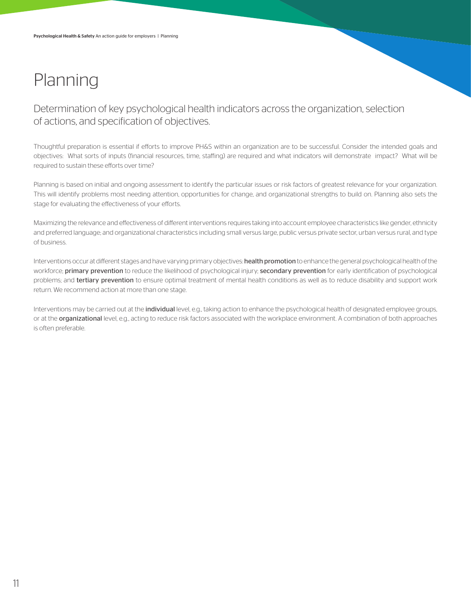## Planning

Determination of key psychological health indicators across the organization, selection of actions, and specification of objectives.

Thoughtful preparation is essential if efforts to improve PH&S within an organization are to be successful. Consider the intended goals and objectives: What sorts of inputs (financial resources, time, staffing) are required and what indicators will demonstrate impact? What will be required to sustain these efforts over time?

Planning is based on initial and ongoing assessment to identify the particular issues or risk factors of greatest relevance for your organization. This will identify problems most needing attention, opportunities for change, and organizational strengths to build on. Planning also sets the stage for evaluating the effectiveness of your efforts.

Maximizing the relevance and effectiveness of different interventions requires taking into account employee characteristics like gender, ethnicity and preferred language; and organizational characteristics including small versus large, public versus private sector, urban versus rural, and type of business.

Interventions occur at different stages and have varying primary objectives: health promotion to enhance the general psychological health of the workforce; primary prevention to reduce the likelihood of psychological injury; secondary prevention for early identification of psychological problems; and tertiary prevention to ensure optimal treatment of mental health conditions as well as to reduce disability and support work return. We recommend action at more than one stage.

Interventions may be carried out at the *individual* level, e.g., taking action to enhance the psychological health of designated employee groups, or at the organizational level, e.g., acting to reduce risk factors associated with the workplace environment. A combination of both approaches is often preferable.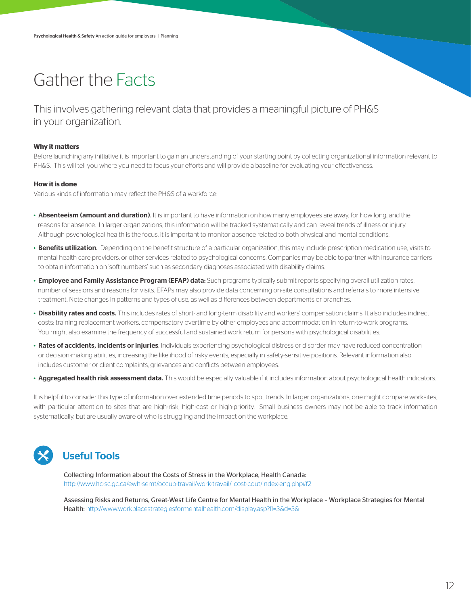## Gather the Facts

This involves gathering relevant data that provides a meaningful picture of PH&S in your organization.

#### **Why it matters**

Before launching any initiative it is important to gain an understanding of your starting point by collecting organizational information relevant to PH&S. This will tell you where you need to focus your efforts and will provide a baseline for evaluating your effectiveness.

#### **How it is done**

Various kinds of information may reflect the PH&S of a workforce:

- Absenteeism (amount and duration). It is important to have information on how many employees are away, for how long, and the reasons for absence. In larger organizations, this information will be tracked systematically and can reveal trends of illness or injury. Although psychological health is the focus, it is important to monitor absence related to both physical and mental conditions.
- Benefits utilization. Depending on the benefit structure of a particular organization, this may include prescription medication use, visits to mental health care providers, or other services related to psychological concerns. Companies may be able to partner with insurance carriers to obtain information on 'soft numbers' such as secondary diagnoses associated with disability claims.
- Employee and Family Assistance Program (EFAP) data: Such programs typically submit reports specifying overall utilization rates, number of sessions and reasons for visits. EFAPs may also provide data concerning on-site consultations and referrals to more intensive treatment. Note changes in patterns and types of use, as well as differences between departments or branches.
- Disability rates and costs. This includes rates of short- and long-term disability and workers' compensation claims. It also includes indirect costs: training replacement workers, compensatory overtime by other employees and accommodation in return-to-work programs. You might also examine the frequency of successful and sustained work return for persons with psychological disabilities.
- Rates of accidents, incidents or injuries. Individuals experiencing psychological distress or disorder may have reduced concentration or decision-making abilities, increasing the likelihood of risky events, especially in safety-sensitive positions. Relevant information also includes customer or client complaints, grievances and conflicts between employees.
- Aggregated health risk assessment data. This would be especially valuable if it includes information about psychological health indicators.

It is helpful to consider this type of information over extended time periods to spot trends. In larger organizations, one might compare worksites, with particular attention to sites that are high-risk, high-cost or high-priority. Small business owners may not be able to track information systematically, but are usually aware of who is struggling and the impact on the workplace.

### Useful Tools

Collecting Information about the Costs of Stress in the Workplace, Health Canada: http://www.hc-sc.gc.ca/ewh-semt/occup-travail/work-travail/\_cost-cout/index-eng.php#f2

Assessing Risks and Returns, Great-West Life Centre for Mental Health in the Workplace – Workplace Strategies for Mental Health: http://www.workplacestrategiesformentalhealth.com/display.asp?l1=3&d=3&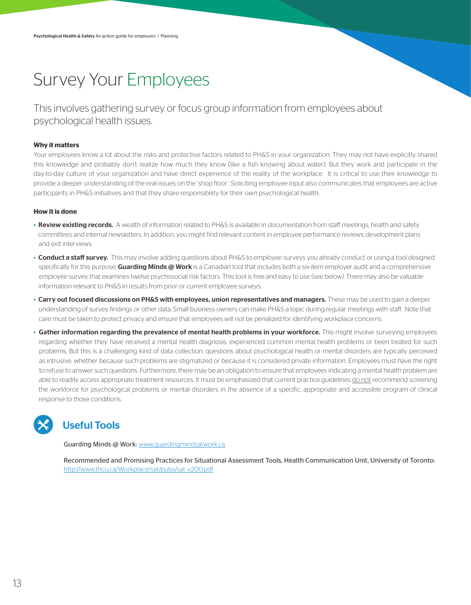## Survey Your Employees

This involves gathering survey or focus group information from employees about psychological health issues.

#### **Why it matters**

Your employees know a lot about the risks and protective factors related to PH&S in your organization. They may not have explicitly shared this knowledge and probably don't realize how much they know (like a fish knowing about water). But they work and participate in the day-to-day culture of your organization and have direct experience of the reality of the workplace. It is critical to use their knowledge to provide a deeper understanding of the real issues on the 'shop floor'. Soliciting employee input also communicates that employees are active participants in PH&S initiatives and that they share responsibility for their own psychological health.

#### **How it is done**

- Review existing records. A wealth of information related to PH&S is available in documentation from staff meetings, health and safety committees and internal newsletters. In addition, you might find relevant content in employee performance reviews, development plans and exit interviews.
- Conduct a staff survey. This may involve adding questions about PH&S to employee surveys you already conduct or using a tool designed specifically for this purpose. Guarding Minds @ Work is a Canadian tool that includes both a six-item employer audit and a comprehensive employee survey that examines twelve psychosocial risk factors. This tool is free and easy to use (see below). There may also be valuable information relevant to PH&S in results from prior or current employee surveys.
- Carry out focused discussions on PH&S with employees, union representatives and managers. These may be used to gain a deeper understanding of survey findings or other data. Small business owners can make PH&S a topic during regular meetings with staff. Note that care must be taken to protect privacy and ensure that employees will not be penalized for identifying workplace concerns.
- Gather information regarding the prevalence of mental health problems in your workforce. This might involve surveying employees regarding whether they have received a mental health diagnosis, experienced common mental health problems or been treated for such problems. But this is a challenging kind of data collection: questions about psychological health or mental disorders are typically perceived as intrusive, whether because such problems are stigmatized or because it is considered private information. Employees must have the right to refuse to answer such questions. Furthermore, there may be an obligation to ensure that employees indicating a mental health problem are able to readily access appropriate treatment resources. It must be emphasized that current practice guidelines do not recommend screening the workforce for psychological problems or mental disorders in the absence of a specific, appropriate and accessible program of clinical response to those conditions.



### Useful Tools

Guarding Minds @ Work: www.guardingmindsatwork.ca

Recommended and Promising Practices for Situational Assessment Tools, Health Communication Unit, University of Toronto: http://www.thcu.ca/Workplace/sat/pubs/sat\_v200.pdf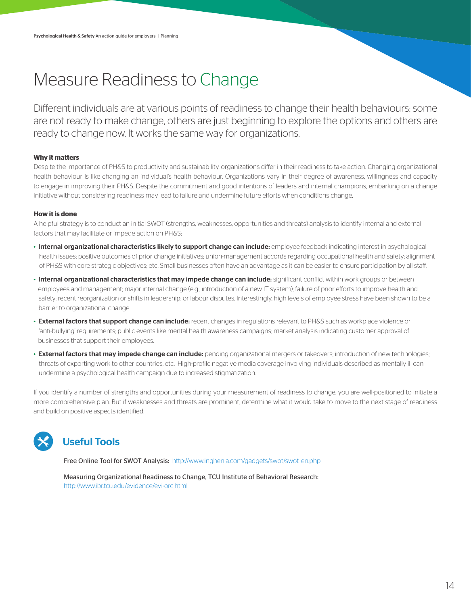## Measure Readiness to Change

Different individuals are at various points of readiness to change their health behaviours: some are not ready to make change, others are just beginning to explore the options and others are ready to change now. It works the same way for organizations.

#### **Why it matters**

Despite the importance of PH&S to productivity and sustainability, organizations differ in their readiness to take action. Changing organizational health behaviour is like changing an individual's health behaviour. Organizations vary in their degree of awareness, willingness and capacity to engage in improving their PH&S. Despite the commitment and good intentions of leaders and internal champions, embarking on a change initiative without considering readiness may lead to failure and undermine future efforts when conditions change.

#### **How it is done**

A helpful strategy is to conduct an initial SWOT (strengths, weaknesses, opportunities and threats) analysis to identify internal and external factors that may facilitate or impede action on PH&S:

- Internal organizational characteristics likely to support change can include: employee feedback indicating interest in psychological health issues; positive outcomes of prior change initiatives; union-management accords regarding occupational health and safety; alignment of PH&S with core strategic objectives; etc. Small businesses often have an advantage as it can be easier to ensure participation by all staff.
- Internal organizational characteristics that may impede change can include: significant conflict within work groups or between employees and management; major internal change (e.g., introduction of a new IT system); failure of prior efforts to improve health and safety; recent reorganization or shifts in leadership; or labour disputes. Interestingly, high levels of employee stress have been shown to be a barrier to organizational change.
- External factors that support change can include: recent changes in regulations relevant to PH&S such as workplace violence or 'anti-bullying' requirements; public events like mental health awareness campaigns; market analysis indicating customer approval of businesses that support their employees.
- External factors that may impede change can include: pending organizational mergers or takeovers; introduction of new technologies; threats of exporting work to other countries, etc. High-profile negative media coverage involving individuals described as mentally ill can undermine a psychological health campaign due to increased stigmatization.

If you identify a number of strengths and opportunities during your measurement of readiness to change, you are well-positioned to initiate a more comprehensive plan. But if weaknesses and threats are prominent, determine what it would take to move to the next stage of readiness and build on positive aspects identified.



### Useful Tools

Free Online Tool for SWOT Analysis: http://www.inghenia.com/gadgets/swot/swot\_en.php

Measuring Organizational Readiness to Change, TCU Institute of Behavioral Research: http://www.ibr.tcu.edu/evidence/evi-orc.html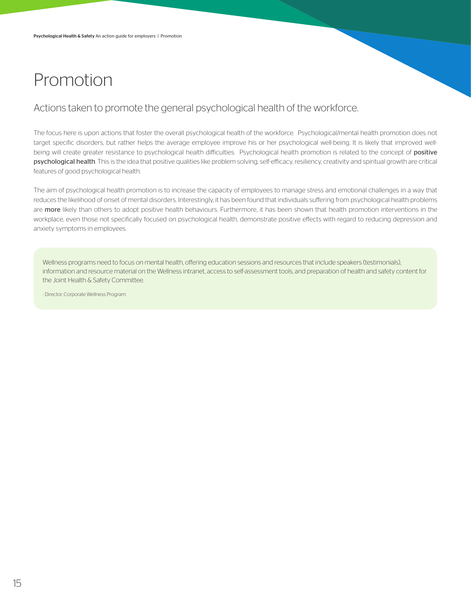## Promotion

### Actions taken to promote the general psychological health of the workforce.

The focus here is upon actions that foster the overall psychological health of the workforce. Psychological/mental health promotion does not target specific disorders, but rather helps the average employee improve his or her psychological well-being. It is likely that improved wellbeing will create greater resistance to psychological health difficulties. Psychological health promotion is related to the concept of positive psychological health. This is the idea that positive qualities like problem solving, self-efficacy, resiliency, creativity and spiritual growth are critical features of good psychological health.

The aim of psychological health promotion is to increase the capacity of employees to manage stress and emotional challenges in a way that reduces the likelihood of onset of mental disorders. Interestingly, it has been found that individuals suffering from psychological health problems are more likely than others to adopt positive health behaviours. Furthermore, it has been shown that health promotion interventions in the workplace, even those not specifically focused on psychological health, demonstrate positive effects with regard to reducing depression and anxiety symptoms in employees.

Wellness programs need to focus on mental health, offering education sessions and resources that include speakers (testimonials), information and resource material on the Wellness intranet, access to self-assessment tools, and preparation of health and safety content for the Joint Health & Safety Committee.

- Director, Corporate Wellness Program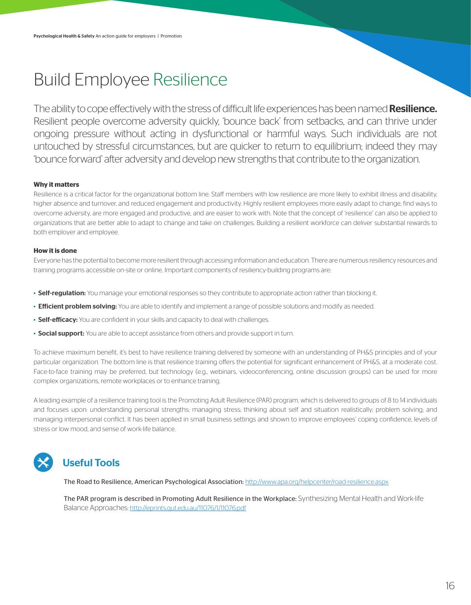## Build Employee Resilience

The ability to cope effectively with the stress of difficult life experiences has been named **Resilience.** Resilient people overcome adversity quickly, 'bounce back' from setbacks, and can thrive under ongoing pressure without acting in dysfunctional or harmful ways. Such individuals are not untouched by stressful circumstances, but are quicker to return to equilibrium; indeed they may 'bounce forward' after adversity and develop new strengths that contribute to the organization.

#### **Why it matters**

Resilience is a critical factor for the organizational bottom line. Staff members with low resilience are more likely to exhibit illness and disability, higher absence and turnover, and reduced engagement and productivity. Highly resilient employees more easily adapt to change, find ways to overcome adversity, are more engaged and productive, and are easier to work with. Note that the concept of 'resilience' can also be applied to organizations that are better able to adapt to change and take on challenges. Building a resilient workforce can deliver substantial rewards to both employer and employee.

#### **How it is done**

Everyone has the potential to become more resilient through accessing information and education. There are numerous resiliency resources and training programs accessible on-site or online. Important components of resiliency-building programs are:

- Self-regulation: You manage your emotional responses so they contribute to appropriate action rather than blocking it.
- Efficient problem solving: You are able to identify and implement a range of possible solutions and modify as needed.
- Self-efficacy: You are confident in your skills and capacity to deal with challenges.
- Social support: You are able to accept assistance from others and provide support in turn.

To achieve maximum benefit, it's best to have resilience training delivered by someone with an understanding of PH&S principles and of your particular organization. The bottom line is that resilience training offers the potential for significant enhancement of PH&S, at a moderate cost. Face-to-face training may be preferred, but technology (e.g., webinars, videoconferencing, online discussion groups) can be used for more complex organizations, remote workplaces or to enhance training.

A leading example of a resilience training tool is the Promoting Adult Resilience (PAR) program, which is delivered to groups of 8 to 14 individuals and focuses upon: understanding personal strengths; managing stress; thinking about self and situation realistically; problem solving; and managing interpersonal conflict. It has been applied in small business settings and shown to improve employees' coping confidence, levels of stress or low mood, and sense of work-life balance.

### Useful Tools

The Road to Resilience, American Psychological Association: http://www.apa.org/helpcenter/road-resilience.aspx

The PAR program is described in Promoting Adult Resilience in the Workplace: Synthesizing Mental Health and Work-life Balance Approaches: http://eprints.qut.edu.au/11076/1/11076.pdf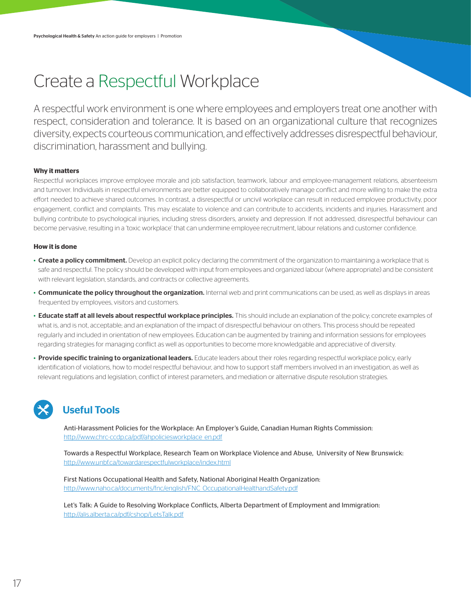## Create a Respectful Workplace

A respectful work environment is one where employees and employers treat one another with respect, consideration and tolerance. It is based on an organizational culture that recognizes diversity, expects courteous communication, and effectively addresses disrespectful behaviour, discrimination, harassment and bullying.

#### **Why it matters**

Respectful workplaces improve employee morale and job satisfaction, teamwork, labour and employee-management relations, absenteeism and turnover. Individuals in respectful environments are better equipped to collaboratively manage conflict and more willing to make the extra effort needed to achieve shared outcomes. In contrast, a disrespectful or uncivil workplace can result in reduced employee productivity, poor engagement, conflict and complaints. This may escalate to violence and can contribute to accidents, incidents and injuries. Harassment and bullying contribute to psychological injuries, including stress disorders, anxiety and depression. If not addressed, disrespectful behaviour can become pervasive, resulting in a 'toxic workplace' that can undermine employee recruitment, labour relations and customer confidence.

#### **How it is done**

- Create a policy commitment. Develop an explicit policy declaring the commitment of the organization to maintaining a workplace that is safe and respectful. The policy should be developed with input from employees and organized labour (where appropriate) and be consistent with relevant legislation, standards, and contracts or collective agreements.
- Communicate the policy throughout the organization. Internal web and print communications can be used, as well as displays in areas frequented by employees, visitors and customers.
- Educate staff at all levels about respectful workplace principles. This should include an explanation of the policy; concrete examples of what is, and is not, acceptable; and an explanation of the impact of disrespectful behaviour on others. This process should be repeated regularly and included in orientation of new employees. Education can be augmented by training and information sessions for employees regarding strategies for managing conflict as well as opportunities to become more knowledgable and appreciative of diversity.
- Provide specific training to organizational leaders. Educate leaders about their roles regarding respectful workplace policy, early identification of violations, how to model respectful behaviour, and how to support staff members involved in an investigation, as well as relevant regulations and legislation, conflict of interest parameters, and mediation or alternative dispute resolution strategies.

### Useful Tools

Anti-Harassment Policies for the Workplace: An Employer's Guide, Canadian Human Rights Commission: http://www.chrc-ccdp.ca/pdf/ahpoliciesworkplace\_en.pdf

Towards a Respectful Workplace, Research Team on Workplace Violence and Abuse, University of New Brunswick: http://www.unbf.ca/towardarespectfulworkplace/index.html

First Nations Occupational Health and Safety, National Aboriginal Health Organization: http://www.naho.ca/documents/fnc/english/FNC\_OccupationalHealthandSafety.pdf

Let's Talk: A Guide to Resolving Workplace Conflicts, Alberta Department of Employment and Immigration: http://alis.alberta.ca/pdf/cshop/LetsTalk.pdf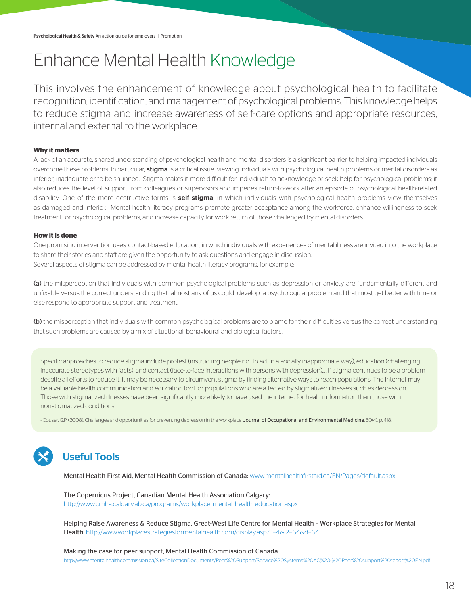## Enhance Mental Health Knowledge

This involves the enhancement of knowledge about psychological health to facilitate recognition, identification, and management of psychological problems. This knowledge helps to reduce stigma and increase awareness of self-care options and appropriate resources, internal and external to the workplace.

### **Why it matters**

A lack of an accurate, shared understanding of psychological health and mental disorders is a significant barrier to helping impacted individuals overcome these problems. In particular, **stigma** is a critical issue: viewing individuals with psychological health problems or mental disorders as inferior, inadequate or to be shunned. Stigma makes it more difficult for individuals to acknowledge or seek help for psychological problems; it also reduces the level of support from colleagues or supervisors and impedes return-to-work after an episode of psychological health-related disability. One of the more destructive forms is self-stigma, in which individuals with psychological health problems view themselves as damaged and inferior. Mental health literacy programs promote greater acceptance among the workforce, enhance willingness to seek treatment for psychological problems, and increase capacity for work return of those challenged by mental disorders.

#### **How it is done**

One promising intervention uses 'contact-based education', in which individuals with experiences of mental illness are invited into the workplace to share their stories and staff are given the opportunity to ask questions and engage in discussion. Several aspects of stigma can be addressed by mental health literacy programs, for example:

(a) the misperception that individuals with common psychological problems such as depression or anxiety are fundamentally different and unfixable versus the correct understanding that almost any of us could develop a psychological problem and that most get better with time or else respond to appropriate support and treatment;

(b) the misperception that individuals with common psychological problems are to blame for their difficulties versus the correct understanding that such problems are caused by a mix of situational, behavioural and biological factors.

Specific approaches to reduce stigma include protest (instructing people not to act in a socially inappropriate way), education (challenging inaccurate stereotypes with facts), and contact (face-to-face interactions with persons with depression).… If stigma continues to be a problem despite all efforts to reduce it, it may be necessary to circumvent stigma by finding alternative ways to reach populations. The internet may be a valuable health communication and education tool for populations who are affected by stigmatized illnesses such as depression. Those with stigmatized illnesses have been significantly more likely to have used the internet for health information than those with nonstigmatized conditions.

- Couser, G.P. (2008). Challenges and opportunities for preventing depression in the workplace. **Journal of Occupational and Environmental Medicine**, 50(4), p. 418.

### Useful Tools

Mental Health First Aid, Mental Health Commission of Canada: www.mentalhealthfirstaid.ca/EN/Pages/default.aspx

The Copernicus Project, Canadian Mental Health Association Calgary: http://www.cmha.calgary.ab.ca/programs/workplace\_mental\_health\_education.aspx

Helping Raise Awareness & Reduce Stigma, Great-West Life Centre for Mental Health – Workplace Strategies for Mental Health: http://www.workplacestrategiesformentalhealth.com/display.asp?l1=4&l2=64&d=64

Making the case for peer support, Mental Health Commission of Canada: http://www.mentalhealthcommission.ca/SiteCollectionDocuments/Peer%20Support/Service%20Systems%20AC%20-%20Peer%20support%20report%20EN.pdf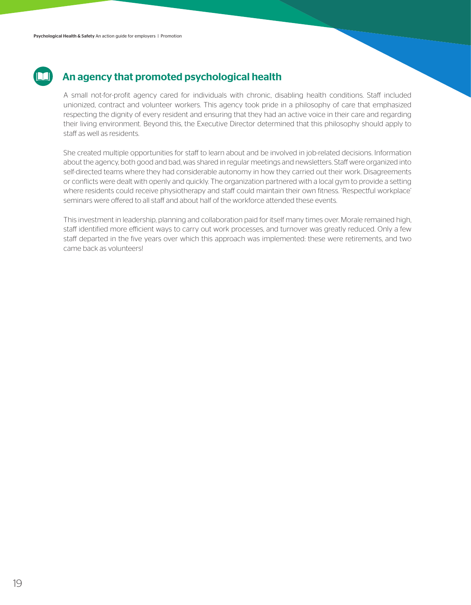### An agency that promoted psychological health

A small not-for-profit agency cared for individuals with chronic, disabling health conditions. Staff included unionized, contract and volunteer workers. This agency took pride in a philosophy of care that emphasized respecting the dignity of every resident and ensuring that they had an active voice in their care and regarding their living environment. Beyond this, the Executive Director determined that this philosophy should apply to staff as well as residents.

She created multiple opportunities for staff to learn about and be involved in job-related decisions. Information about the agency, both good and bad, was shared in regular meetings and newsletters. Staff were organized into self-directed teams where they had considerable autonomy in how they carried out their work. Disagreements or conflicts were dealt with openly and quickly. The organization partnered with a local gym to provide a setting where residents could receive physiotherapy and staff could maintain their own fitness. 'Respectful workplace' seminars were offered to all staff and about half of the workforce attended these events.

This investment in leadership, planning and collaboration paid for itself many times over. Morale remained high, staff identified more efficient ways to carry out work processes, and turnover was greatly reduced. Only a few staff departed in the five years over which this approach was implemented: these were retirements, and two came back as volunteers!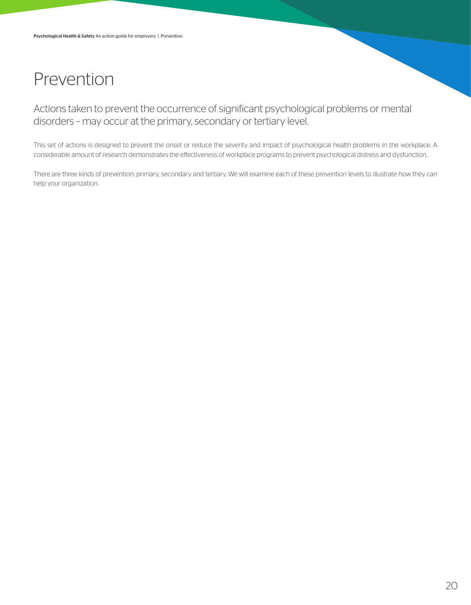## Prevention

Actions taken to prevent the occurrence of significant psychological problems or mental disorders – may occur at the primary, secondary or tertiary level.

This set of actions is designed to prevent the onset or reduce the severity and impact of psychological health problems in the workplace. A considerable amount of research demonstrates the effectiveness of workplace programs to prevent psychological distress and dysfunction.

There are three kinds of prevention: primary, secondary and tertiary. We will examine each of these prevention levels to illustrate how they can help your organization.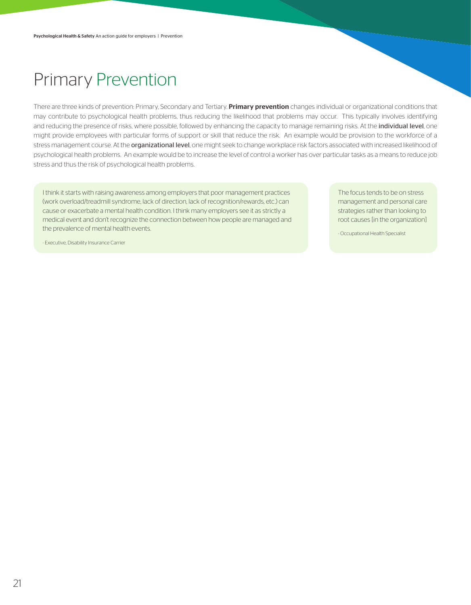## Primary Prevention

There are three kinds of prevention: Primary, Secondary and Tertiary. Primary prevention changes individual or organizational conditions that may contribute to psychological health problems, thus reducing the likelihood that problems may occur. This typically involves identifying and reducing the presence of risks, where possible, followed by enhancing the capacity to manage remaining risks. At the individual level, one might provide employees with particular forms of support or skill that reduce the risk. An example would be provision to the workforce of a stress management course. At the **organizational level**, one might seek to change workplace risk factors associated with increased likelihood of psychological health problems. An example would be to increase the level of control a worker has over particular tasks as a means to reduce job stress and thus the risk of psychological health problems.

I think it starts with raising awareness among employers that poor management practices (work overload/treadmill syndrome, lack of direction, lack of recognition/rewards, etc.) can cause or exacerbate a mental health condition. I think many employers see it as strictly a medical event and don't recognize the connection between how people are managed and the prevalence of mental health events.

The focus tends to be on stress management and personal care strategies rather than looking to root causes [in the organization]

- Occupational Health Specialist

- Executive, Disability Insurance Carrier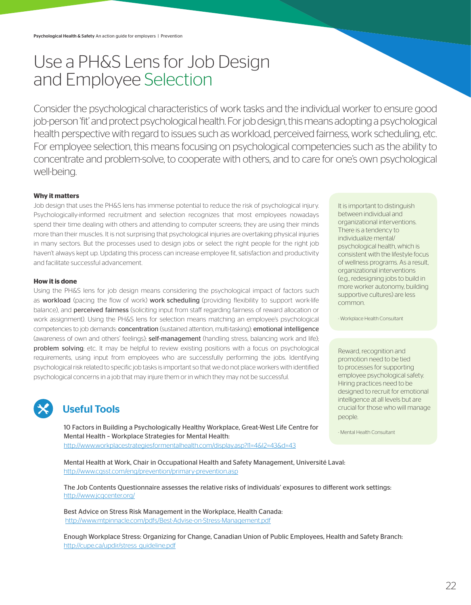## Use a PH&S Lens for Job Design and Employee Selection

Consider the psychological characteristics of work tasks and the individual worker to ensure good job-person 'fit' and protect psychological health. For job design, this means adopting a psychological health perspective with regard to issues such as workload, perceived fairness, work scheduling, etc. For employee selection, this means focusing on psychological competencies such as the ability to concentrate and problem-solve, to cooperate with others, and to care for one's own psychological well-being.

#### **Why it matters**

Job design that uses the PH&S lens has immense potential to reduce the risk of psychological injury. Psychologically-informed recruitment and selection recognizes that most employees nowadays spend their time dealing with others and attending to computer screens; they are using their minds more than their muscles. It is not surprising that psychological injuries are overtaking physical injuries in many sectors. But the processes used to design jobs or select the right people for the right job haven't always kept up. Updating this process can increase employee fit, satisfaction and productivity and facilitate successful advancement.

#### **How it is done**

Using the PH&S lens for job design means considering the psychological impact of factors such as workload (pacing the flow of work) work scheduling (providing flexibility to support work-life balance), and **perceived fairness** (soliciting input from staff regarding fairness of reward allocation or work assignment). Using the PH&S lens for selection means matching an employee's psychological competencies to job demands: concentration (sustained attention, multi-tasking); emotional intelligence (awareness of own and others' feelings); self-management (handling stress, balancing work and life); problem solving; etc. It may be helpful to review existing positions with a focus on psychological requirements, using input from employees who are successfully performing the jobs. Identifying psychological risk related to specific job tasks is important so that we do not place workers with identified psychological concerns in a job that may injure them or in which they may not be successful.



### Useful Tools

10 Factors in Building a Psychologically Healthy Workplace, Great-West Life Centre for Mental Health – Workplace Strategies for Mental Health: http://www.workplacestrategiesformentalhealth.com/display.asp?l1=4&l2=43&d=43

Mental Health at Work, Chair in Occupational Health and Safety Management, Université Laval: http://www.cgsst.com/eng/prevention/primary-prevention.asp

The Job Contents Questionnaire assesses the relative risks of individuals' exposures to different work settings: http://www.jcqcenter.org/

Best Advice on Stress Risk Management in the Workplace, Health Canada: http://www.mtpinnacle.com/pdfs/Best-Advise-on-Stress-Management.pdf

Enough Workplace Stress: Organizing for Change, Canadian Union of Public Employees, Health and Safety Branch: http://cupe.ca/updir/stress\_guideline.pdf

It is important to distinguish between individual and organizational interventions. There is a tendency to individualize mental/ psychological health, which is consistent with the lifestyle focus of wellness programs. As a result, organizational interventions (e.g., redesigning jobs to build in more worker autonomy, building supportive cultures) are less common.

- Workplace Health Consultant

Reward, recognition and promotion need to be tied to processes for supporting employee psychological safety. Hiring practices need to be designed to recruit for emotional intelligence at all levels but are crucial for those who will manage people.

- Mental Health Consultant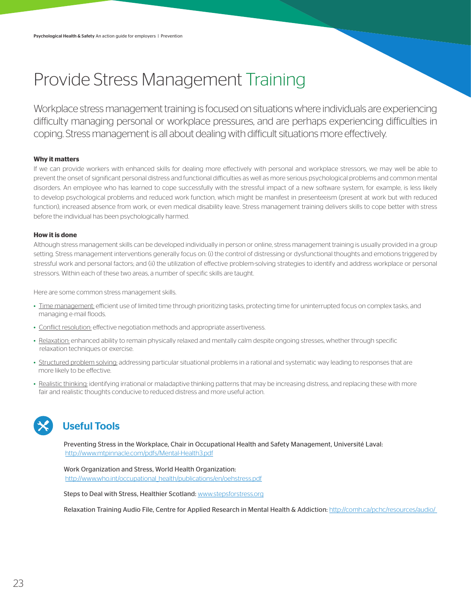## Provide Stress Management Training

Workplace stress management training is focused on situations where individuals are experiencing difficulty managing personal or workplace pressures, and are perhaps experiencing difficulties in coping. Stress management is all about dealing with difficult situations more effectively.

#### **Why it matters**

If we can provide workers with enhanced skills for dealing more effectively with personal and workplace stressors, we may well be able to prevent the onset of significant personal distress and functional difficulties as well as more serious psychological problems and common mental disorders. An employee who has learned to cope successfully with the stressful impact of a new software system, for example, is less likely to develop psychological problems and reduced work function, which might be manifest in presenteeism (present at work but with reduced function), increased absence from work, or even medical disability leave. Stress management training delivers skills to cope better with stress before the individual has been psychologically harmed.

#### **How it is done**

Although stress management skills can be developed individually in person or online, stress management training is usually provided in a group setting. Stress management interventions generally focus on: (i) the control of distressing or dysfunctional thoughts and emotions triggered by stressful work and personal factors; and (ii) the utilization of effective problem-solving strategies to identify and address workplace or personal stressors. Within each of these two areas, a number of specific skills are taught.

Here are some common stress management skills.

- Time management: efficient use of limited time through prioritizing tasks, protecting time for uninterrupted focus on complex tasks, and managing e-mail floods.
- Conflict resolution: effective negotiation methods and appropriate assertiveness.
- Relaxation: enhanced ability to remain physically relaxed and mentally calm despite ongoing stresses, whether through specific relaxation techniques or exercise.
- Structured problem solving: addressing particular situational problems in a rational and systematic way leading to responses that are more likely to be effective.
- Realistic thinking: identifying irrational or maladaptive thinking patterns that may be increasing distress, and replacing these with more fair and realistic thoughts conducive to reduced distress and more useful action.



### Useful Tools

Preventing Stress in the Workplace, Chair in Occupational Health and Safety Management, Université Laval: http://www.mtpinnacle.com/pdfs/Mental-Health3.pdf

Work Organization and Stress, World Health Organization: http://www.who.int/occupational\_health/publications/en/oehstress.pdf

Steps to Deal with Stress, Healthier Scotland: www.stepsforstress.org

Relaxation Training Audio File, Centre for Applied Research in Mental Health & Addiction: http://comh.ca/pchc/resources/audio/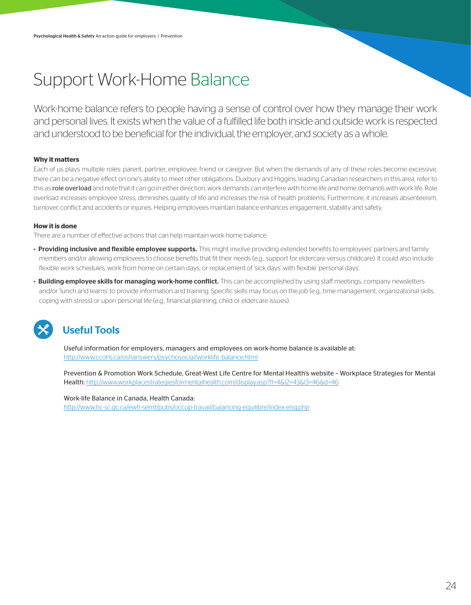# Support Work-Home Balance

Work-home balance refers to people having a sense of control over how they manage their work and personal lives. It exists when the value of a fulfilled life both inside and outside work is respected and understood to be beneficial for the individual, the employer, and society as a whole.

### **Why it matters**

Each of us plays multiple roles: parent, partner, employee, friend or caregiver. But when the demands of any of these roles become excessive, there can be a negative effect on one's ability to meet other obligations. Duxbury and Higgins, leading Canadian researchers in this area, refer to this as role overload and note that it can go in either direction; work demands can interfere with home life and home demands with work life. Role overload increases employee stress, diminishes quality of life and increases the risk of health problems. Furthermore, it increases absenteeism, turnover, conflict and accidents or injuries. Helping employees maintain balance enhances engagement, stability and safety.

### **How it is done**

There are a number of effective actions that can help maintain work-home balance:

- Providing inclusive and flexible employee supports. This might involve providing extended benefits to employees' partners and family members and/or allowing employees to choose benefits that fit their needs (e.g., support for eldercare versus childcare). It could also include flexible work schedules, work from home on certain days, or replacement of 'sick days' with flexible 'personal days'.
- Building employee skills for managing work-home conflict. This can be accomplished by using staff meetings, company newsletters and/or 'lunch and learns' to provide information and training. Specific skills may focus on the job (e.g., time management, organizational skills, coping with stress) or upon personal life (e.g., financial planning, child or eldercare issues).



### Useful Tools

Useful information for employers, managers and employees on work-home balance is available at: http://www.ccohs.ca/oshanswers/psychosocial/worklife\_balance.html

Prevention & Promotion Work Schedule, Great-West Life Centre for Mental Health's website – Workplace Strategies for Mental Health: http://www.workplacestrategiesformentalhealth.com/display.asp?l1=4&l2=43&l3=46&d=46

Work-life Balance in Canada, Health Canada: http://www.hc-sc.gc.ca/ewh-semt/pubs/occup-travail/balancing-equilibre/index-eng.php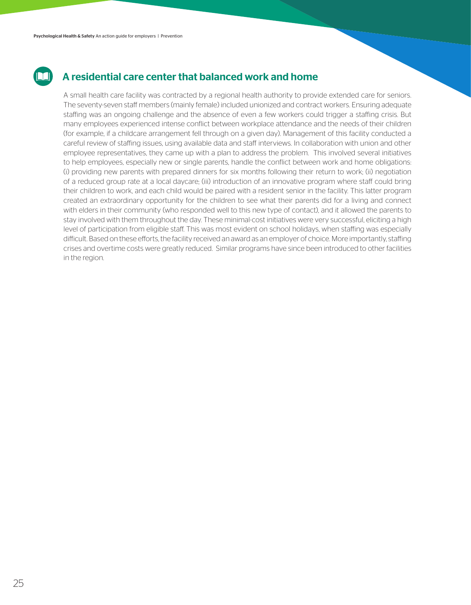

### A residential care center that balanced work and home

A small health care facility was contracted by a regional health authority to provide extended care for seniors. The seventy-seven staff members (mainly female) included unionized and contract workers. Ensuring adequate staffing was an ongoing challenge and the absence of even a few workers could trigger a staffing crisis. But many employees experienced intense conflict between workplace attendance and the needs of their children (for example, if a childcare arrangement fell through on a given day). Management of this facility conducted a careful review of staffing issues, using available data and staff interviews. In collaboration with union and other employee representatives, they came up with a plan to address the problem. This involved several initiatives to help employees, especially new or single parents, handle the conflict between work and home obligations: (i) providing new parents with prepared dinners for six months following their return to work; (ii) negotiation of a reduced group rate at a local daycare; (iii) introduction of an innovative program where staff could bring their children to work, and each child would be paired with a resident senior in the facility. This latter program created an extraordinary opportunity for the children to see what their parents did for a living and connect with elders in their community (who responded well to this new type of contact), and it allowed the parents to stay involved with them throughout the day. These minimal-cost initiatives were very successful, eliciting a high level of participation from eligible staff. This was most evident on school holidays, when staffing was especially difficult. Based on these efforts, the facility received an award as an employer of choice. More importantly, staffing crises and overtime costs were greatly reduced. Similar programs have since been introduced to other facilities in the region.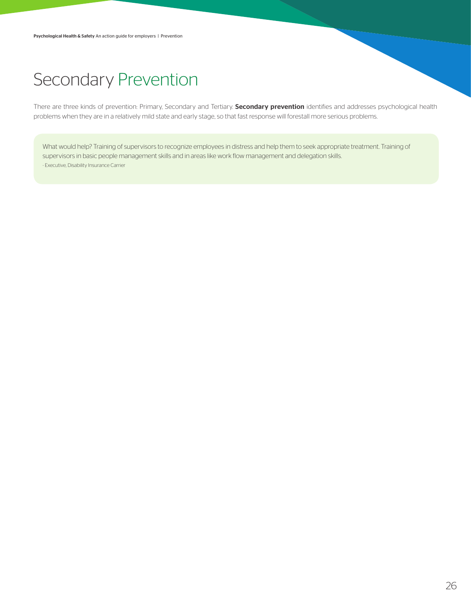## Secondary Prevention

There are three kinds of prevention: Primary, Secondary and Tertiary. Secondary prevention identifies and addresses psychological health problems when they are in a relatively mild state and early stage, so that fast response will forestall more serious problems.

What would help? Training of supervisors to recognize employees in distress and help them to seek appropriate treatment. Training of supervisors in basic people management skills and in areas like work flow management and delegation skills. - Executive, Disability Insurance Carrier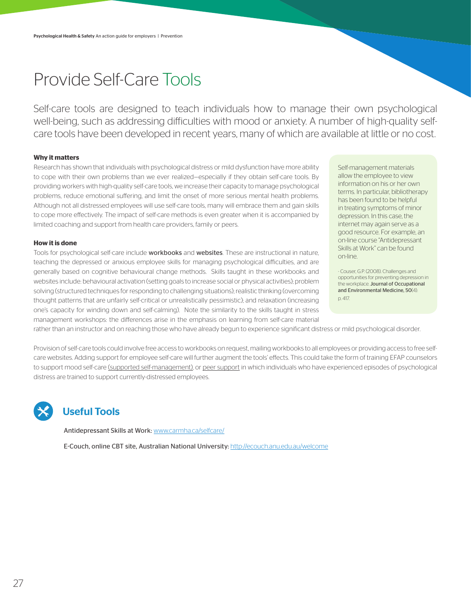## Provide Self-Care Tools

Self-care tools are designed to teach individuals how to manage their own psychological well-being, such as addressing difficulties with mood or anxiety. A number of high-quality selfcare tools have been developed in recent years, many of which are available at little or no cost.

#### **Why it matters**

Research has shown that individuals with psychological distress or mild dysfunction have more ability to cope with their own problems than we ever realized—especially if they obtain self-care tools. By providing workers with high-quality self-care tools, we increase their capacity to manage psychological problems, reduce emotional suffering, and limit the onset of more serious mental health problems. Although not all distressed employees will use self-care tools, many will embrace them and gain skills to cope more effectively. The impact of self-care methods is even greater when it is accompanied by limited coaching and support from health care providers, family or peers.

#### **How it is done**

Tools for psychological self-care include workbooks and websites. These are instructional in nature, teaching the depressed or anxious employee skills for managing psychological difficulties, and are generally based on cognitive behavioural change methods. Skills taught in these workbooks and websites include: behavioural activation (setting goals to increase social or physical activities); problem solving (structured techniques for responding to challenging situations); realistic thinking (overcoming thought patterns that are unfairly self-critical or unrealistically pessimistic); and relaxation (increasing one's capacity for winding down and self-calming). Note the similarity to the skills taught in stress management workshops: the differences arise in the emphasis on learning from self-care material

Self-management materials allow the employee to view information on his or her own terms. In particular, bibliotherapy has been found to be helpful in treating symptoms of minor depression. In this case, the internet may again serve as a good resource. For example, an on-line course "Antidepressant Skills at Work" can be found on-line.

- Couser, G.P. (2008). Challenges and opportunities for preventing depression in the workplace. Journal of Occupational and Environmental Medicine, 50(4): p. 417.

rather than an instructor and on reaching those who have already begun to experience significant distress or mild psychological disorder.

Provision of self-care tools could involve free access to workbooks on request, mailing workbooks to all employees or providing access to free selfcare websites. Adding support for employee self-care will further augment the tools' effects. This could take the form of training EFAP counselors to support mood self-care (supported self-management), or peer support in which individuals who have experienced episodes of psychological distress are trained to support currently-distressed employees.

### Useful Tools

Antidepressant Skills at Work: www.carmha.ca/selfcare/

E-Couch, online CBT site, Australian National University: http://ecouch.anu.edu.au/welcome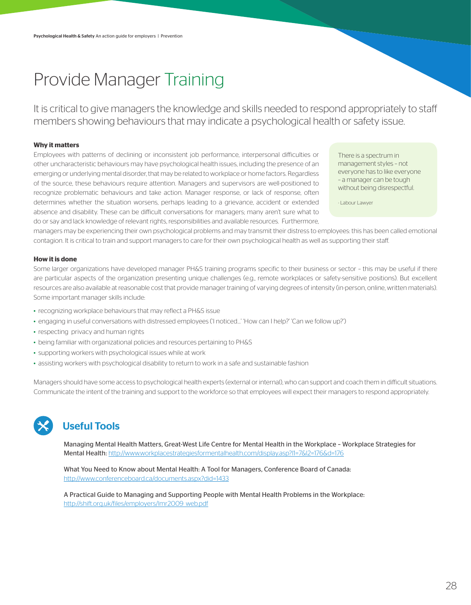## Provide Manager Training

It is critical to give managers the knowledge and skills needed to respond appropriately to staff members showing behaviours that may indicate a psychological health or safety issue.

#### **Why it matters**

Employees with patterns of declining or inconsistent job performance, interpersonal difficulties or other uncharacteristic behaviours may have psychological health issues, including the presence of an emerging or underlying mental disorder, that may be related to workplace or home factors. Regardless of the source, these behaviours require attention. Managers and supervisors are well-positioned to recognize problematic behaviours and take action. Manager response, or lack of response, often determines whether the situation worsens, perhaps leading to a grievance, accident or extended absence and disability. These can be difficult conversations for managers; many aren't sure what to do or say and lack knowledge of relevant rights, responsibilities and available resources. Furthermore,

There is a spectrum in management styles – not everyone has to like everyone – a manager can be tough without being disrespectful.

- Labour Lawyer

managers may be experiencing their own psychological problems and may transmit their distress to employees: this has been called emotional contagion. It is critical to train and support managers to care for their own psychological health as well as supporting their staff.

#### **How it is done**

Some larger organizations have developed manager PH&S training programs specific to their business or sector – this may be useful if there are particular aspects of the organization presenting unique challenges (e.g., remote workplaces or safety-sensitive positions). But excellent resources are also available at reasonable cost that provide manager training of varying degrees of intensity (in-person, online, written materials). Some important manager skills include:

- recognizing workplace behaviours that may reflect a PH&S issue
- engaging in useful conversations with distressed employees ('I noticed…' 'How can I help?' 'Can we follow up?')
- respecting privacy and human rights
- being familiar with organizational policies and resources pertaining to PH&S
- supporting workers with psychological issues while at work
- assisting workers with psychological disability to return to work in a safe and sustainable fashion

Managers should have some access to psychological health experts (external or internal), who can support and coach them in difficult situations. Communicate the intent of the training and support to the workforce so that employees will expect their managers to respond appropriately.



### Useful Tools

Managing Mental Health Matters, Great-West Life Centre for Mental Health in the Workplace – Workplace Strategies for Mental Health: http://www.workplacestrategiesformentalhealth.com/display.asp?l1=7&l2=176&d=176

What You Need to Know about Mental Health: A Tool for Managers, Conference Board of Canada: http://www.conferenceboard.ca/documents.aspx?did=1433

A Practical Guide to Managing and Supporting People with Mental Health Problems in the Workplace: http://shift.org.uk/files/employers/lmr2009\_web.pdf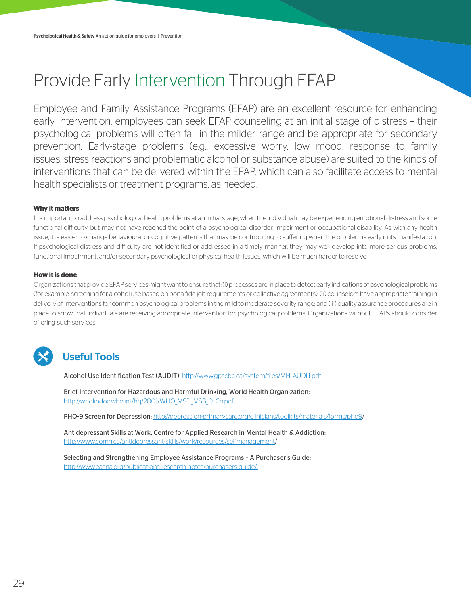# Provide Early Intervention Through EFAP

Employee and Family Assistance Programs (EFAP) are an excellent resource for enhancing early intervention: employees can seek EFAP counseling at an initial stage of distress – their psychological problems will often fall in the milder range and be appropriate for secondary prevention. Early-stage problems (e.g., excessive worry, low mood, response to family issues, stress reactions and problematic alcohol or substance abuse) are suited to the kinds of interventions that can be delivered within the EFAP, which can also facilitate access to mental health specialists or treatment programs, as needed.

#### **Why it matters**

It is important to address psychological health problems at an initial stage, when the individual may be experiencing emotional distress and some functional difficulty, but may not have reached the point of a psychological disorder, impairment or occupational disability. As with any health issue, it is easier to change behavioural or cognitive patterns that may be contributing to suffering when the problem is early in its manifestation. If psychological distress and difficulty are not identified or addressed in a timely manner, they may well develop into more serious problems, functional impairment, and/or secondary psychological or physical health issues, which will be much harder to resolve.

#### **How it is done**

Organizations that provide EFAP services might want to ensure that: (i) processes are in place to detect early indications of psychological problems (for example, screening for alcohol use based on bona fide job requirements or collective agreements); (ii) counselors have appropriate training in delivery of interventions for common psychological problems in the mild to moderate severity range; and (iii) quality assurance procedures are in place to show that individuals are receiving appropriate intervention for psychological problems. Organizations without EFAPs should consider offering such services.



### Useful Tools

Alcohol Use Identification Test (AUDIT): http://www.gpscbc.ca/system/files/MH\_AUDIT.pdf

Brief Intervention for Hazardous and Harmful Drinking, World Health Organization: http://whqlibdoc.who.int/hq/2001/WHO\_MSD\_MSB\_01.6b.pdf

PHQ-9 Screen for Depression: http://depression-primarycare.org/clinicians/toolkits/materials/forms/phq9/

Antidepressant Skills at Work, Centre for Applied Research in Mental Health & Addiction: http://www.comh.ca/antidepressant-skills/work/resources/selfmanagement/

Selecting and Strengthening Employee Assistance Programs – A Purchaser's Guide: http://www.easna.org/publications-research-notes/purchasers-guide/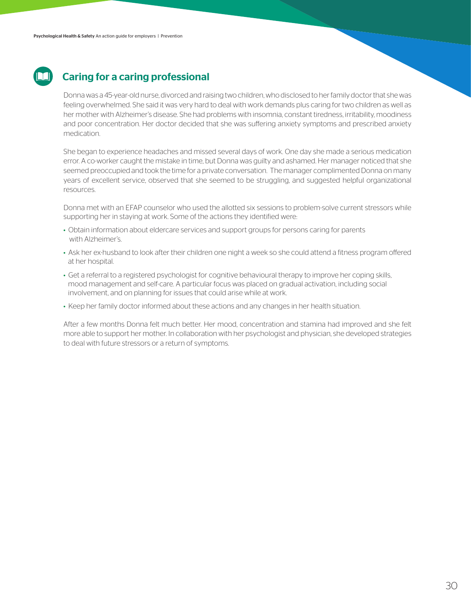

### Caring for a caring professional

Donna was a 45-year-old nurse, divorced and raising two children, who disclosed to her family doctor that she was feeling overwhelmed. She said it was very hard to deal with work demands plus caring for two children as well as her mother with Alzheimer's disease. She had problems with insomnia, constant tiredness, irritability, moodiness and poor concentration. Her doctor decided that she was suffering anxiety symptoms and prescribed anxiety medication.

She began to experience headaches and missed several days of work. One day she made a serious medication error. A co-worker caught the mistake in time, but Donna was guilty and ashamed. Her manager noticed that she seemed preoccupied and took the time for a private conversation. The manager complimented Donna on many years of excellent service, observed that she seemed to be struggling, and suggested helpful organizational resources.

Donna met with an EFAP counselor who used the allotted six sessions to problem-solve current stressors while supporting her in staying at work. Some of the actions they identified were:

- Obtain information about eldercare services and support groups for persons caring for parents with Alzheimer's.
- Ask her ex-husband to look after their children one night a week so she could attend a fitness program offered at her hospital.
- Get a referral to a registered psychologist for cognitive behavioural therapy to improve her coping skills, mood management and self-care. A particular focus was placed on gradual activation, including social involvement, and on planning for issues that could arise while at work.
- Keep her family doctor informed about these actions and any changes in her health situation.

After a few months Donna felt much better. Her mood, concentration and stamina had improved and she felt more able to support her mother. In collaboration with her psychologist and physician, she developed strategies to deal with future stressors or a return of symptoms.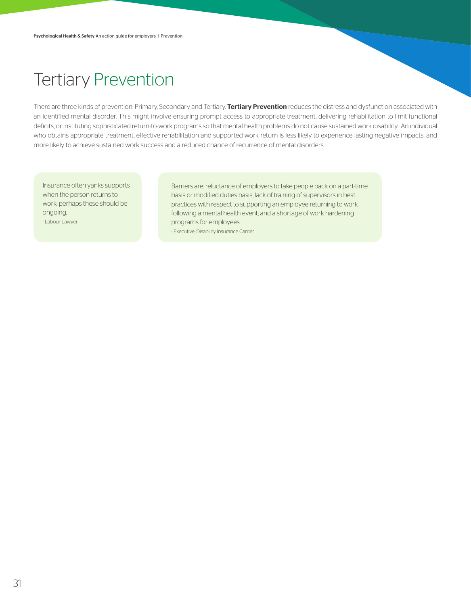## Tertiary Prevention

There are three kinds of prevention: Primary, Secondary and Tertiary. Tertiary Prevention reduces the distress and dysfunction associated with an identified mental disorder. This might involve ensuring prompt access to appropriate treatment, delivering rehabilitation to limit functional deficits, or instituting sophisticated return-to-work programs so that mental health problems do not cause sustained work disability. An individual who obtains appropriate treatment, effective rehabilitation and supported work return is less likely to experience lasting negative impacts, and more likely to achieve sustained work success and a reduced chance of recurrence of mental disorders.

Insurance often yanks supports when the person returns to work; perhaps these should be ongoing. - Labour Lawyer

Barriers are: reluctance of employers to take people back on a part-time basis or modified duties basis; lack of training of supervisors in best practices with respect to supporting an employee returning to work following a mental health event; and a shortage of work hardening programs for employees. - Executive, Disability Insurance Carrier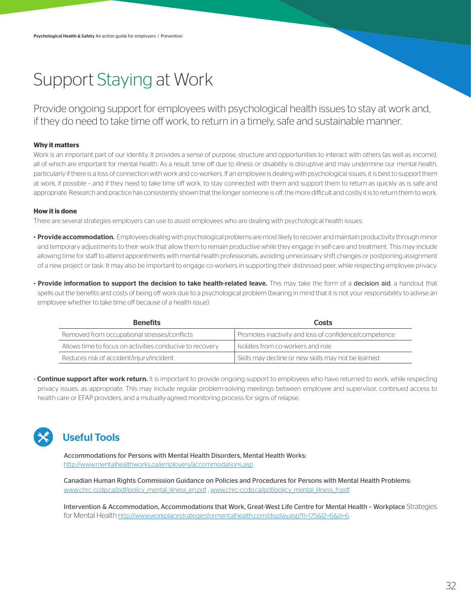# Support Staying at Work

Provide ongoing support for employees with psychological health issues to stay at work and, if they do need to take time off work, to return in a timely, safe and sustainable manner.

### **Why it matters**

Work is an important part of our identity. It provides a sense of purpose, structure and opportunities to interact with others (as well as income), all of which are important for mental health. As a result, time off due to illness or disability is disruptive and may undermine our mental health, particularly if there is a loss of connection with work and co-workers. If an employee is dealing with psychological issues, it is best to support them at work, if possible – and if they need to take time off work, to stay connected with them and support them to return as quickly as is safe and appropriate. Research and practice has consistently shown that the longer someone is off, the more difficult and costly it is to return them to work.

#### **How it is done**

There are several strategies employers can use to assist employees who are dealing with psychological health issues:

- Provide accommodation. Employees dealing with psychological problems are most likely to recover and maintain productivity through minor and temporary adjustments to their work that allow them to remain productive while they engage in self-care and treatment. This may include allowing time for staff to attend appointments with mental health professionals, avoiding unnecessary shift changes or postponing assignment of a new project or task. It may also be important to engage co-workers in supporting their distressed peer, while respecting employee privacy.
- Provide information to support the decision to take health-related leave. This may take the form of a decision aid, a handout that spells out the benefits and costs of being off work due to a psychological problem (bearing in mind that it is not your responsibility to advise an employee whether to take time off because of a health issue).

| <b>Benefits</b>                                          | Costs                                                 |
|----------------------------------------------------------|-------------------------------------------------------|
| Removed from occupational stresses/conflicts             | Promotes inactivity and loss of confidence/competence |
| Allows time to focus on activities conducive to recovery | Isolates from co-workers and role                     |
| Reduces risk of accident/injury/incident                 | Skills may decline or new skills may not be learned   |

• Continue support after work return. It is important to provide ongoing support to employees who have returned to work, while respecting privacy issues, as appropriate. This may include regular problem-solving meetings between employee and supervisor, continued access to health care or EFAP providers, and a mutually-agreed monitoring process for signs of relapse.



### Useful Tools

Accommodations for Persons with Mental Health Disorders, Mental Health Works: http://www.mentalhealthworks.ca/employers/accommodations.asp

Canadian Human Rights Commission Guidance on Policies and Procedures for Persons with Mental Health Problems: www.chrc-ccdp.ca/pdf/policy\_mental\_illness\_en.pdf , www.chrc-ccdp.ca/pdf/policy\_mental\_illness\_fr.pdf

Intervention & Accommodation, Accommodations that Work, Great-West Life Centre for Mental Health – Workplace Strategies for Mental Health http://www.workplacestrategiesformentalhealth.com/display.asp?l1=175&l2=6&d=6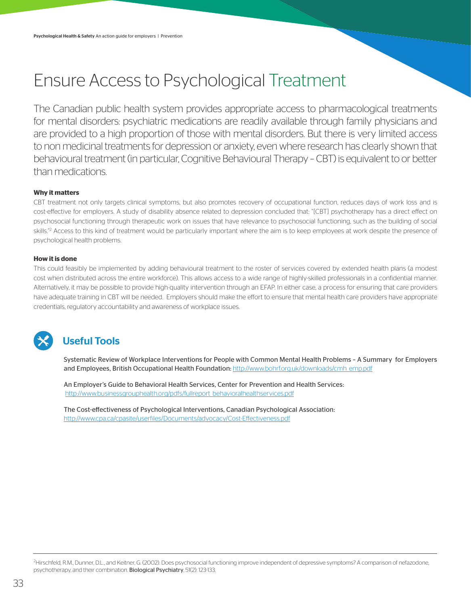# Ensure Access to Psychological Treatment

The Canadian public health system provides appropriate access to pharmacological treatments for mental disorders: psychiatric medications are readily available through family physicians and are provided to a high proportion of those with mental disorders. But there is very limited access to non medicinal treatments for depression or anxiety, even where research has clearly shown that behavioural treatment (in particular, Cognitive Behavioural Therapy – CBT) is equivalent to or better than medications.

### **Why it matters**

CBT treatment not only targets clinical symptoms, but also promotes recovery of occupational function, reduces days of work loss and is cost-effective for employers. A study of disability absence related to depression concluded that: "[CBT] psychotherapy has a direct effect on psychosocial functioning through therapeutic work on issues that have relevance to psychosocial functioning, such as the building of social skills."<sup>2</sup> Access to this kind of treatment would be particularly important where the aim is to keep employees at work despite the presence of psychological health problems.

#### **How it is done**

This could feasibly be implemented by adding behavioural treatment to the roster of services covered by extended health plans (a modest cost when distributed across the entire workforce). This allows access to a wide range of highly-skilled professionals in a confidential manner. Alternatively, it may be possible to provide high-quality intervention through an EFAP. In either case, a process for ensuring that care providers have adequate training in CBT will be needed. Employers should make the effort to ensure that mental health care providers have appropriate credentials, regulatory accountability and awareness of workplace issues.



### Useful Tools

Systematic Review of Workplace Interventions for People with Common Mental Health Problems – A Summary for Employers and Employees, British Occupational Health Foundation: http://www.bohrf.org.uk/downloads/cmh\_emp.pdf

An Employer's Guide to Behavioral Health Services, Center for Prevention and Health Services: http://www.businessgrouphealth.org/pdfs/fullreport\_behavioralhealthservices.pdf

The Cost-effectiveness of Psychological Interventions, Canadian Psychological Association: http://www.cpa.ca/cpasite/userfiles/Documents/advocacy/Cost-Effectiveness.pdf

2 Hirschfeld, R.M., Dunner, D.L., and Keitner, G. (2002). Does psychosocial functioning improve independent of depressive symptoms? A comparison of nefazodone, psychotherapy, and their combination. Biological Psychiatry, 51(2): 123-133.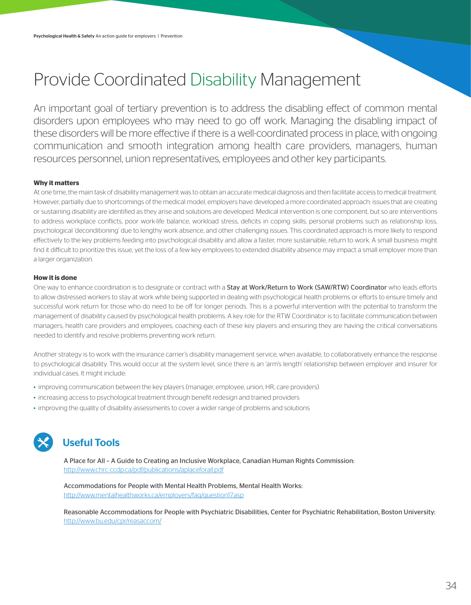# Provide Coordinated Disability Management

An important goal of tertiary prevention is to address the disabling effect of common mental disorders upon employees who may need to go off work. Managing the disabling impact of these disorders will be more effective if there is a well-coordinated process in place, with ongoing communication and smooth integration among health care providers, managers, human resources personnel, union representatives, employees and other key participants.

### **Why it matters**

At one time, the main task of disability management was to obtain an accurate medical diagnosis and then facilitate access to medical treatment. However, partially due to shortcomings of the medical model, employers have developed a more coordinated approach: issues that are creating or sustaining disability are identified as they arise and solutions are developed. Medical intervention is one component, but so are interventions to address workplace conflicts, poor work-life balance, workload stress, deficits in coping skills, personal problems such as relationship loss, psychological 'deconditioning' due to lengthy work absence, and other challenging issues. This coordinated approach is more likely to respond effectively to the key problems feeding into psychological disability and allow a faster, more sustainable, return to work. A small business might find it difficult to prioritize this issue, yet the loss of a few key employees to extended disability absence may impact a small employer more than a larger organization.

#### **How it is done**

One way to enhance coordination is to designate or contract with a Stay at Work/Return to Work (SAW/RTW) Coordinator who leads efforts to allow distressed workers to stay at work while being supported in dealing with psychological health problems or efforts to ensure timely and successful work return for those who do need to be off for longer periods. This is a powerful intervention with the potential to transform the management of disability caused by psychological health problems. A key role for the RTW Coordinator is to facilitate communication between managers, health care providers and employees, coaching each of these key players and ensuring they are having the critical conversations needed to identify and resolve problems preventing work return.

Another strategy is to work with the insurance carrier's disability management service, when available, to collaboratively enhance the response to psychological disability. This would occur at the system level, since there is an 'arm's length' relationship between employer and insurer for individual cases. It might include:

- improving communication between the key players (manager, employee, union, HR, care providers)
- increasing access to psychological treatment through benefit redesign and trained providers
- improving the quality of disability assessments to cover a wider range of problems and solutions



### Useful Tools

A Place for All – A Guide to Creating an Inclusive Workplace, Canadian Human Rights Commission: http://www.chrc-ccdp.ca/pdf/publications/aplaceforall.pdf

Accommodations for People with Mental Health Problems, Mental Health Works: http://www.mentalhealthworks.ca/employers/faq/question17.asp

Reasonable Accommodations for People with Psychiatric Disabilities, Center for Psychiatric Rehabilitation, Boston University: http://www.bu.edu/cpr/reasaccom/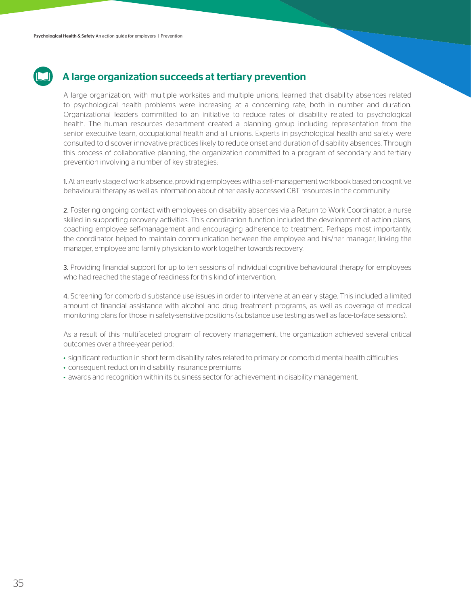### A large organization succeeds at tertiary prevention

A large organization, with multiple worksites and multiple unions, learned that disability absences related to psychological health problems were increasing at a concerning rate, both in number and duration. Organizational leaders committed to an initiative to reduce rates of disability related to psychological health. The human resources department created a planning group including representation from the senior executive team, occupational health and all unions. Experts in psychological health and safety were consulted to discover innovative practices likely to reduce onset and duration of disability absences. Through this process of collaborative planning, the organization committed to a program of secondary and tertiary prevention involving a number of key strategies:

1. At an early stage of work absence, providing employees with a self-management workbook based on cognitive behavioural therapy as well as information about other easily-accessed CBT resources in the community.

2. Fostering ongoing contact with employees on disability absences via a Return to Work Coordinator, a nurse skilled in supporting recovery activities. This coordination function included the development of action plans, coaching employee self-management and encouraging adherence to treatment. Perhaps most importantly, the coordinator helped to maintain communication between the employee and his/her manager, linking the manager, employee and family physician to work together towards recovery.

3. Providing financial support for up to ten sessions of individual cognitive behavioural therapy for employees who had reached the stage of readiness for this kind of intervention.

4. Screening for comorbid substance use issues in order to intervene at an early stage. This included a limited amount of financial assistance with alcohol and drug treatment programs, as well as coverage of medical monitoring plans for those in safety-sensitive positions (substance use testing as well as face-to-face sessions).

As a result of this multifaceted program of recovery management, the organization achieved several critical outcomes over a three-year period:

- significant reduction in short-term disability rates related to primary or comorbid mental health difficulties
- consequent reduction in disability insurance premiums
- awards and recognition within its business sector for achievement in disability management.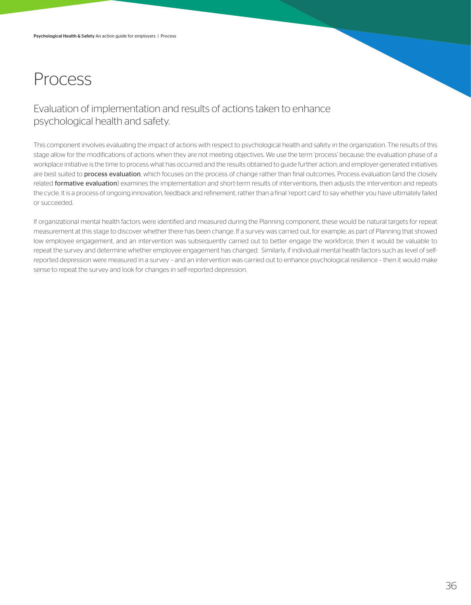## Process

### Evaluation of implementation and results of actions taken to enhance psychological health and safety.

This component involves evaluating the impact of actions with respect to psychological health and safety in the organization. The results of this stage allow for the modifications of actions when they are not meeting objectives. We use the term 'process' because: the evaluation phase of a workplace initiative is the time to process what has occurred and the results obtained to guide further action; and employer-generated initiatives are best suited to **process evaluation**, which focuses on the process of change rather than final outcomes. Process evaluation (and the closely related formative evaluation) examines the implementation and short-term results of interventions, then adjusts the intervention and repeats the cycle. It is a process of ongoing innovation, feedback and refinement, rather than a final 'report card' to say whether you have ultimately failed or succeeded.

If organizational mental health factors were identified and measured during the Planning component, these would be natural targets for repeat measurement at this stage to discover whether there has been change. If a survey was carried out, for example, as part of Planning that showed low employee engagement, and an intervention was subsequently carried out to better engage the workforce, then it would be valuable to repeat the survey and determine whether employee engagement has changed. Similarly, if individual mental health factors such as level of selfreported depression were measured in a survey – and an intervention was carried out to enhance psychological resilience – then it would make sense to repeat the survey and look for changes in self-reported depression.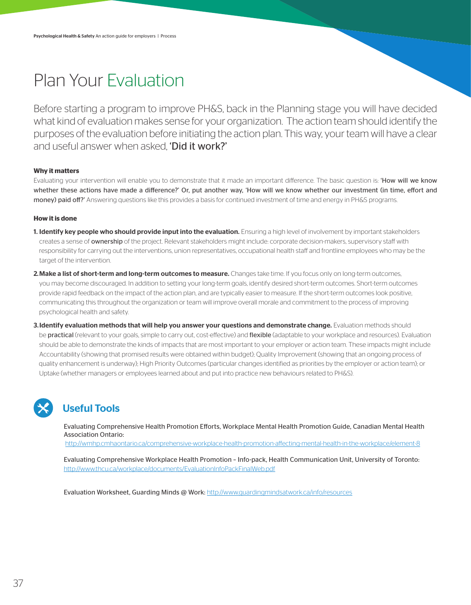## Plan Your Evaluation

Before starting a program to improve PH&S, back in the Planning stage you will have decided what kind of evaluation makes sense for your organization. The action team should identify the purposes of the evaluation before initiating the action plan. This way, your team will have a clear and useful answer when asked. **'Did it work?'** 

### **Why it matters**

Evaluating your intervention will enable you to demonstrate that it made an important difference. The basic question is: 'How will we know whether these actions have made a difference?' Or, put another way, 'How will we know whether our investment (in time, effort and money) paid off?' Answering questions like this provides a basis for continued investment of time and energy in PH&S programs.

#### **How it is done**

- 1. Identify key people who should provide input into the evaluation. Ensuring a high level of involvement by important stakeholders creates a sense of ownership of the project. Relevant stakeholders might include: corporate decision-makers, supervisory staff with responsibility for carrying out the interventions, union representatives, occupational health staff and frontline employees who may be the target of the intervention.
- 2. Make a list of short-term and long-term outcomes to measure. Changes take time. If you focus only on long-term outcomes, you may become discouraged. In addition to setting your long-term goals, identify desired short-term outcomes. Short-term outcomes provide rapid feedback on the impact of the action plan, and are typically easier to measure. If the short-term outcomes look positive, communicating this throughout the organization or team will improve overall morale and commitment to the process of improving psychological health and safety.
- 3. Identify evaluation methods that will help you answer your questions and demonstrate change. Evaluation methods should be **practical** (relevant to your goals, simple to carry out, cost-effective) and flexible (adaptable to your workplace and resources). Evaluation should be able to demonstrate the kinds of impacts that are most important to your employer or action team. These impacts might include Accountability (showing that promised results were obtained within budget); Quality Improvement (showing that an ongoing process of quality enhancement is underway); High Priority Outcomes (particular changes identified as priorities by the employer or action team); or Uptake (whether managers or employees learned about and put into practice new behaviours related to PH&S).

### Useful Tools

Evaluating Comprehensive Health Promotion Efforts, Workplace Mental Health Promotion Guide, Canadian Mental Health Association Ontario:

http://wmhp.cmhaontario.ca/comprehensive-workplace-health-promotion-affecting-mental-health-in-the-workplace/element-8

Evaluating Comprehensive Workplace Health Promotion – Info-pack, Health Communication Unit, University of Toronto: http://www.thcu.ca/workplace/documents/EvaluationInfoPackFinalWeb.pdf

Evaluation Worksheet, Guarding Minds @ Work: http://www.guardingmindsatwork.ca/info/resources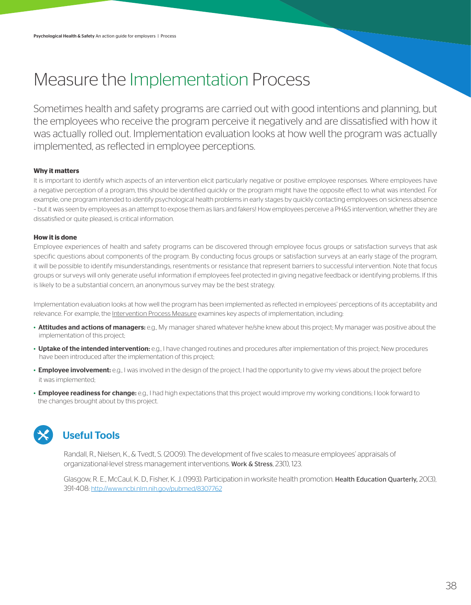## Measure the Implementation Process

Sometimes health and safety programs are carried out with good intentions and planning, but the employees who receive the program perceive it negatively and are dissatisfied with how it was actually rolled out. Implementation evaluation looks at how well the program was actually implemented, as reflected in employee perceptions.

### **Why it matters**

It is important to identify which aspects of an intervention elicit particularly negative or positive employee responses. Where employees have a negative perception of a program, this should be identified quickly or the program might have the opposite effect to what was intended. For example, one program intended to identify psychological health problems in early stages by quickly contacting employees on sickness absence – but it was seen by employees as an attempt to expose them as liars and fakers! How employees perceive a PH&S intervention, whether they are dissatisfied or quite pleased, is critical information.

#### **How it is done**

Employee experiences of health and safety programs can be discovered through employee focus groups or satisfaction surveys that ask specific questions about components of the program. By conducting focus groups or satisfaction surveys at an early stage of the program, it will be possible to identify misunderstandings, resentments or resistance that represent barriers to successful intervention. Note that focus groups or surveys will only generate useful information if employees feel protected in giving negative feedback or identifying problems. If this is likely to be a substantial concern, an anonymous survey may be the best strategy.

Implementation evaluation looks at how well the program has been implemented as reflected in employees' perceptions of its acceptability and relevance. For example, the Intervention Process Measure examines key aspects of implementation, including:

- Attitudes and actions of managers: e.g., My manager shared whatever he/she knew about this project; My manager was positive about the implementation of this project;
- Uptake of the intended intervention: e.g., I have changed routines and procedures after implementation of this project; New procedures have been introduced after the implementation of this project;
- **Employee involvement:** e.g., I was involved in the design of the project; I had the opportunity to give my views about the project before it was implemented;
- Employee readiness for change: e.g., I had high expectations that this project would improve my working conditions; I look forward to the changes brought about by this project.



### Useful Tools

Randall, R., Nielsen, K., & Tvedt, S. (2009). The development of five scales to measure employees' appraisals of organizational-level stress management interventions. Work & Stress, 23(1), 123.

Glasgow, R. E., McCaul, K. D., Fisher, K. J. (1993). Participation in worksite health promotion. Health Education Quarterly, 20(3), 391-408: http://www.ncbi.nlm.nih.gov/pubmed/8307762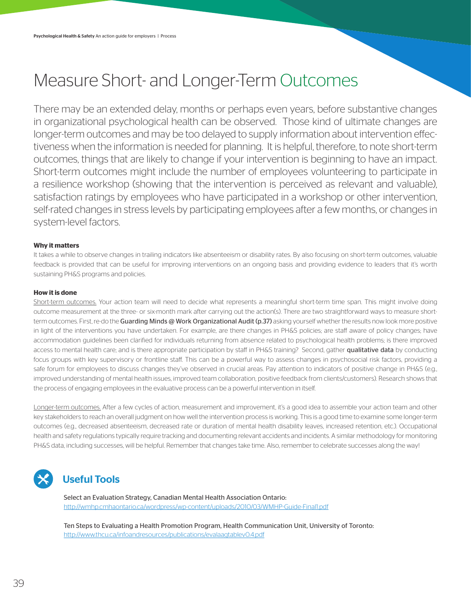## Measure Short- and Longer-Term Outcomes

There may be an extended delay, months or perhaps even years, before substantive changes in organizational psychological health can be observed. Those kind of ultimate changes are longer-term outcomes and may be too delayed to supply information about intervention effectiveness when the information is needed for planning. It is helpful, therefore, to note short-term outcomes, things that are likely to change if your intervention is beginning to have an impact. Short-term outcomes might include the number of employees volunteering to participate in a resilience workshop (showing that the intervention is perceived as relevant and valuable), satisfaction ratings by employees who have participated in a workshop or other intervention, self-rated changes in stress levels by participating employees after a few months, or changes in system-level factors.

### **Why it matters**

It takes a while to observe changes in trailing indicators like absenteeism or disability rates. By also focusing on short-term outcomes, valuable feedback is provided that can be useful for improving interventions on an ongoing basis and providing evidence to leaders that it's worth sustaining PH&S programs and policies.

#### **How it is done**

Short-term outcomes. Your action team will need to decide what represents a meaningful short-term time span. This might involve doing outcome measurement at the three- or six-month mark after carrying out the action(s). There are two straightforward ways to measure shortterm outcomes. First, re-do the Guarding Minds @ Work Organizational Audit (p.37) asking yourself whether the results now look more positive in light of the interventions you have undertaken. For example, are there changes in PH&S policies; are staff aware of policy changes; have accommodation guidelines been clarified for individuals returning from absence related to psychological health problems; is there improved access to mental health care; and is there appropriate participation by staff in PH&S training? Second, gather qualitative data by conducting focus groups with key supervisory or frontline staff. This can be a powerful way to assess changes in psychosocial risk factors, providing a safe forum for employees to discuss changes they've observed in crucial areas. Pay attention to indicators of positive change in PH&S (e.g., improved understanding of mental health issues, improved team collaboration, positive feedback from clients/customers). Research shows that the process of engaging employees in the evaluative process can be a powerful intervention in itself.

Longer-term outcomes. After a few cycles of action, measurement and improvement, it's a good idea to assemble your action team and other key stakeholders to reach an overall judgment on how well the intervention process is working. This is a good time to examine some longer-term outcomes (e.g., decreased absenteeism, decreased rate or duration of mental health disability leaves, increased retention, etc.). Occupational health and safety regulations typically require tracking and documenting relevant accidents and incidents. A similar methodology for monitoring PH&S data, including successes, will be helpful. Remember that changes take time. Also, remember to celebrate successes along the way!



### Useful Tools

Select an Evaluation Strategy, Canadian Mental Health Association Ontario: http://wmhp.cmhaontario.ca/wordpress/wp-content/uploads/2010/03/WMHP-Guide-Final1.pdf

Ten Steps to Evaluating a Health Promotion Program, Health Communication Unit, University of Toronto: http://www.thcu.ca/infoandresources/publications/evalaagtablev0.4.pdf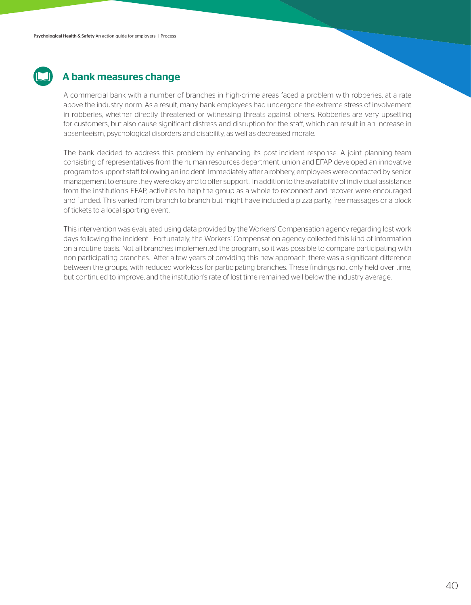

### A bank measures change

A commercial bank with a number of branches in high-crime areas faced a problem with robberies, at a rate above the industry norm. As a result, many bank employees had undergone the extreme stress of involvement in robberies, whether directly threatened or witnessing threats against others. Robberies are very upsetting for customers, but also cause significant distress and disruption for the staff, which can result in an increase in absenteeism, psychological disorders and disability, as well as decreased morale.

The bank decided to address this problem by enhancing its post-incident response. A joint planning team consisting of representatives from the human resources department, union and EFAP developed an innovative program to support staff following an incident. Immediately after a robbery, employees were contacted by senior management to ensure they were okay and to offer support. In addition to the availability of individual assistance from the institution's EFAP, activities to help the group as a whole to reconnect and recover were encouraged and funded. This varied from branch to branch but might have included a pizza party, free massages or a block of tickets to a local sporting event.

This intervention was evaluated using data provided by the Workers' Compensation agency regarding lost work days following the incident. Fortunately, the Workers' Compensation agency collected this kind of information on a routine basis. Not all branches implemented the program, so it was possible to compare participating with non-participating branches. After a few years of providing this new approach, there was a significant difference between the groups, with reduced work-loss for participating branches. These findings not only held over time, but continued to improve, and the institution's rate of lost time remained well below the industry average.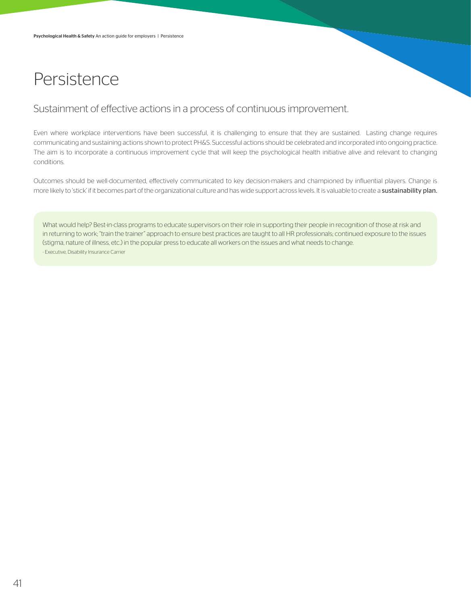## Persistence

### Sustainment of effective actions in a process of continuous improvement.

Even where workplace interventions have been successful, it is challenging to ensure that they are sustained. Lasting change requires communicating and sustaining actions shown to protect PH&S. Successful actions should be celebrated and incorporated into ongoing practice. The aim is to incorporate a continuous improvement cycle that will keep the psychological health initiative alive and relevant to changing conditions.

Outcomes should be well-documented, effectively communicated to key decision-makers and championed by influential players. Change is more likely to 'stick' if it becomes part of the organizational culture and has wide support across levels. It is valuable to create a sustainability plan.

What would help? Best-in-class programs to educate supervisors on their role in supporting their people in recognition of those at risk and in returning to work; "train the trainer" approach to ensure best practices are taught to all HR professionals; continued exposure to the issues (stigma, nature of illness, etc.) in the popular press to educate all workers on the issues and what needs to change. - Executive, Disability Insurance Carrier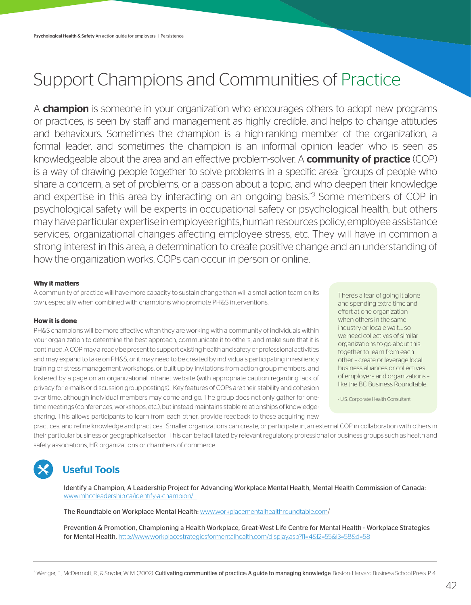## Support Champions and Communities of Practice

A **champion** is someone in your organization who encourages others to adopt new programs or practices, is seen by staff and management as highly credible, and helps to change attitudes and behaviours. Sometimes the champion is a high-ranking member of the organization, a formal leader, and sometimes the champion is an informal opinion leader who is seen as knowledgeable about the area and an effective problem-solver. A **community of practice** (COP) is a way of drawing people together to solve problems in a specific area: "groups of people who share a concern, a set of problems, or a passion about a topic, and who deepen their knowledge and expertise in this area by interacting on an ongoing basis."<sup>3</sup> Some members of COP in psychological safety will be experts in occupational safety or psychological health, but others may have particular expertise in employee rights, human resources policy, employee assistance services, organizational changes affecting employee stress, etc. They will have in common a strong interest in this area, a determination to create positive change and an understanding of how the organization works. COPs can occur in person or online.

#### **Why it matters**

A community of practice will have more capacity to sustain change than will a small action team on its own, especially when combined with champions who promote PH&S interventions.

#### **How it is done**

PH&S champions will be more effective when they are working with a community of individuals within your organization to determine the best approach, communicate it to others, and make sure that it is continued. A COP may already be present to support existing health and safety or professional activities and may expand to take on PH&S, or it may need to be created by individuals participating in resiliency training or stress management workshops, or built up by invitations from action group members, and fostered by a page on an organizational intranet website (with appropriate caution regarding lack of privacy for e-mails or discussion group postings). Key features of COPs are their stability and cohesion over time, although individual members may come and go. The group does not only gather for onetime meetings (conferences, workshops, etc.), but instead maintains stable relationships of knowledgesharing. This allows participants to learn from each other, provide feedback to those acquiring new

There's a fear of going it alone and spending extra time and effort at one organization when others in the same industry or locale wait.… so we need collectives of similar organizations to go about this together to learn from each other – create or leverage local business alliances or collectives of employers and organizations – like the BC Business Roundtable.

- U.S. Corporate Health Consultant

practices, and refine knowledge and practices. Smaller organizations can create, or participate in, an external COP in collaboration with others in their particular business or geographical sector. This can be facilitated by relevant regulatory, professional or business groups such as health and safety associations, HR organizations or chambers of commerce.

### Useful Tools

Identify a Champion, A Leadership Project for Advancing Workplace Mental Health, Mental Health Commission of Canada: www.mhccleadership.ca/identify-a-champion/

The Roundtable on Workplace Mental Health: www.workplacementalhealthroundtable.com/

Prevention & Promotion, Championing a Health Workplace, Great-West Life Centre for Mental Health - Workplace Strategies for Mental Health, http://www.workplacestrategiesformentalhealth.com/display.asp?l1=4&l2=55&l3=58&d=58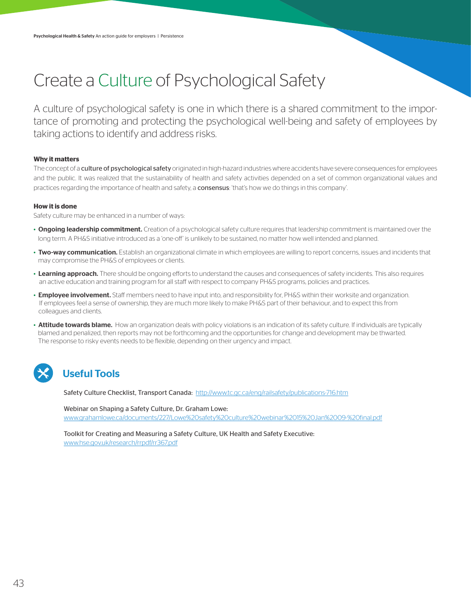# Create a Culture of Psychological Safety

A culture of psychological safety is one in which there is a shared commitment to the importance of promoting and protecting the psychological well-being and safety of employees by taking actions to identify and address risks.

### **Why it matters**

The concept of a culture of psychological safety originated in high-hazard industries where accidents have severe consequences for employees and the public. It was realized that the sustainability of health and safety activities depended on a set of common organizational values and practices regarding the importance of health and safety, a **consensus**: 'that's how we do things in this company'.

#### **How it is done**

Safety culture may be enhanced in a number of ways:

- Ongoing leadership commitment. Creation of a psychological safety culture requires that leadership commitment is maintained over the long term. A PH&S initiative introduced as a 'one-off' is unlikely to be sustained, no matter how well intended and planned.
- Two-way communication. Establish an organizational climate in which employees are willing to report concerns, issues and incidents that may compromise the PH&S of employees or clients.
- Learning approach. There should be ongoing efforts to understand the causes and consequences of safety incidents. This also requires an active education and training program for all staff with respect to company PH&S programs, policies and practices.
- Employee involvement. Staff members need to have input into, and responsibility for, PH&S within their worksite and organization. If employees feel a sense of ownership, they are much more likely to make PH&S part of their behaviour, and to expect this from colleagues and clients.
- Attitude towards blame. How an organization deals with policy violations is an indication of its safety culture. If individuals are typically blamed and penalized, then reports may not be forthcoming and the opportunities for change and development may be thwarted. The response to risky events needs to be flexible, depending on their urgency and impact.

### Useful Tools

Safety Culture Checklist, Transport Canada: http://www.tc.gc.ca/eng/railsafety/publications-716.htm

Webinar on Shaping a Safety Culture, Dr. Graham Lowe: www.grahamlowe.ca/documents/227/Lowe%20safety%20culture%20webinar%2015%20Jan%2009-%20final.pdf

Toolkit for Creating and Measuring a Safety Culture, UK Health and Safety Executive: www.hse.gov.uk/research/rrpdf/rr367.pdf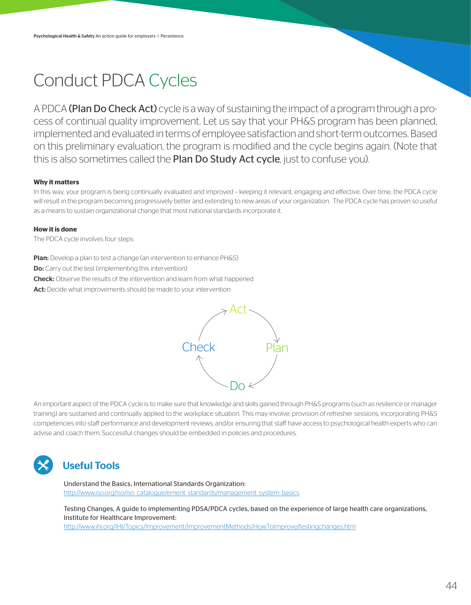## Conduct PDCA Cycles

A PDCA (Plan Do Check Act) cycle is a way of sustaining the impact of a program through a process of continual quality improvement. Let us say that your PH&S program has been planned, implemented and evaluated in terms of employee satisfaction and short-term outcomes. Based on this preliminary evaluation, the program is modified and the cycle begins again. (Note that this is also sometimes called the Plan Do Study Act cycle, just to confuse you).

### **Why it matters**

In this way, your program is being continually evaluated and improved – keeping it relevant, engaging and effective. Over time, the PDCA cycle will result in the program becoming progressively better and extending to new areas of your organization. The PDCA cycle has proven so useful as a means to sustain organizational change that most national standards incorporate it.

#### **How it is done**

The PDCA cycle involves four steps:

Plan: Develop a plan to test a change (an intervention to enhance PH&S)

Do: Carry out the test (implementing this intervention)

**Check:** Observe the results of the intervention and learn from what happened

Act: Decide what improvements should be made to your intervention



An important aspect of the PDCA cycle is to make sure that knowledge and skills gained through PH&S programs (such as resilience or manager training) are sustained and continually applied to the workplace situation. This may involve: provision of refresher sessions; incorporating PH&S competencies into staff performance and development reviews; and/or ensuring that staff have access to psychological health experts who can advise and coach them. Successful changes should be embedded in policies and procedures.



### Useful Tools

Understand the Basics, International Standards Organization: http://www.iso.org/iso/iso\_catalogue/ement\_standards/management\_system\_basics

Testing Changes, A guide to implementing PDSA/PDCA cycles, based on the experience of large health care organizations, Institute for Healthcare Improvement: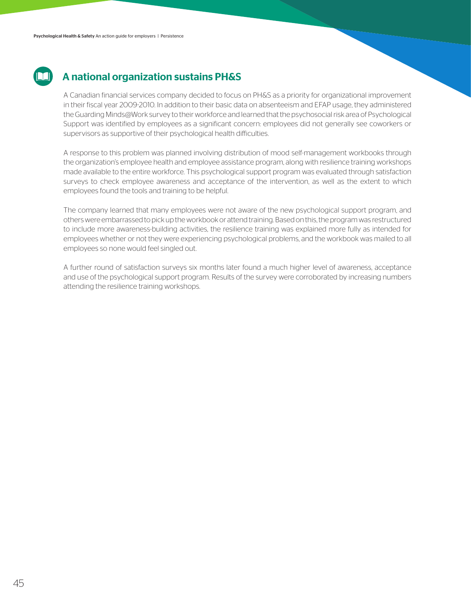### A national organization sustains PH&S

A Canadian financial services company decided to focus on PH&S as a priority for organizational improvement in their fiscal year 2009-2010. In addition to their basic data on absenteeism and EFAP usage, they administered the Guarding Minds@Work survey to their workforce and learned that the psychosocial risk area of Psychological Support was identified by employees as a significant concern: employees did not generally see coworkers or supervisors as supportive of their psychological health difficulties.

A response to this problem was planned involving distribution of mood self-management workbooks through the organization's employee health and employee assistance program, along with resilience training workshops made available to the entire workforce. This psychological support program was evaluated through satisfaction surveys to check employee awareness and acceptance of the intervention, as well as the extent to which employees found the tools and training to be helpful.

The company learned that many employees were not aware of the new psychological support program, and others were embarrassed to pick up the workbook or attend training. Based on this, the program was restructured to include more awareness-building activities, the resilience training was explained more fully as intended for employees whether or not they were experiencing psychological problems, and the workbook was mailed to all employees so none would feel singled out.

A further round of satisfaction surveys six months later found a much higher level of awareness, acceptance and use of the psychological support program. Results of the survey were corroborated by increasing numbers attending the resilience training workshops.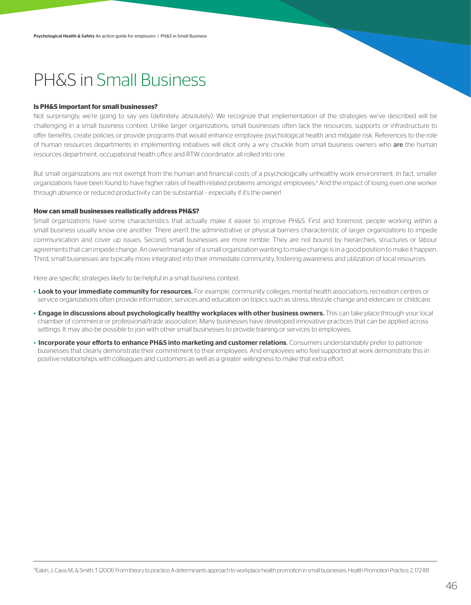## PH&S in Small Business

#### **Is PH&S important for small businesses?**

Not surprisingly, we're going to say yes (definitely, absolutely). We recognize that implementation of the strategies we've described will be challenging in a small business context. Unlike larger organizations, small businesses often lack the resources, supports or infrastructure to offer benefits, create policies or provide programs that would enhance employee psychological health and mitigate risk. References to the role of human resources departments in implementing initiatives will elicit only a wry chuckle from small business owners who are the human resources department, occupational health office and RTW coordinator, all rolled into one.

But small organizations are not exempt from the human and financial costs of a psychologically unhealthy work environment. In fact, smaller organizations have been found to have higher rates of health-related problems amongst employees.4 And the impact of losing even one worker through absence or reduced productivity can be substantial – especially if it's the owner!

#### **How can small businesses realistically address PH&S?**

Small organizations have some characteristics that actually make it easier to improve PH&S. First and foremost, people working within a small business usually know one another. There aren't the administrative or physical barriers characteristic of larger organizations to impede communication and cover up issues. Second, small businesses are more nimble. They are not bound by hierarchies, structures or labour agreements that can impede change. An owner/manager of a small organization wanting to make change is in a good position to make it happen. Third, small businesses are typically more integrated into their immediate community, fostering awareness and utilization of local resources.

Here are specific strategies likely to be helpful in a small business context:

- Look to your immediate community for resources. For example, community colleges, mental health associations, recreation centres or service organizations often provide information, services and education on topics such as stress, lifestyle change and eldercare or childcare.
- Engage in discussions about psychologically healthy workplaces with other business owners. This can take place through your local chamber of commerce or professional/trade association. Many businesses have developed innovative practices that can be applied across settings. It may also be possible to join with other small businesses to provide training or services to employees.
- Incorporate your efforts to enhance PH&S into marketing and customer relations. Consumers understandably prefer to patronize businesses that clearly demonstrate their commitment to their employees. And employees who feel supported at work demonstrate this in positive relationships with colleagues and customers as well as a greater willingness to make that extra effort.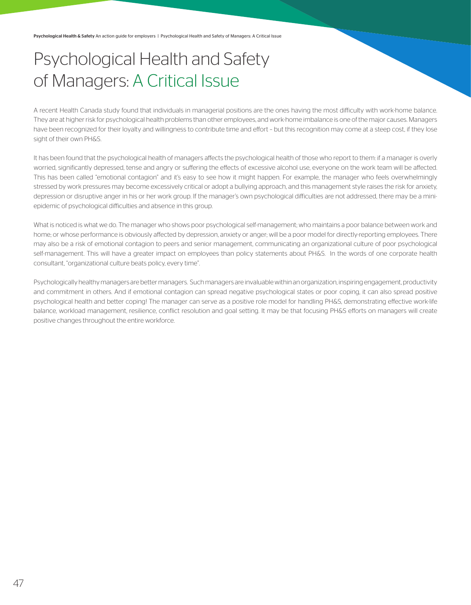## Psychological Health and Safety of Managers: A Critical Issue

A recent Health Canada study found that individuals in managerial positions are the ones having the most difficulty with work-home balance. They are at higher risk for psychological health problems than other employees, and work-home imbalance is one of the major causes. Managers have been recognized for their loyalty and willingness to contribute time and effort – but this recognition may come at a steep cost, if they lose sight of their own PH&S.

It has been found that the psychological health of managers affects the psychological health of those who report to them: if a manager is overly worried, significantly depressed, tense and angry or suffering the effects of excessive alcohol use, everyone on the work team will be affected. This has been called "emotional contagion" and it's easy to see how it might happen. For example, the manager who feels overwhelmingly stressed by work pressures may become excessively critical or adopt a bullying approach, and this management style raises the risk for anxiety, depression or disruptive anger in his or her work group. If the manager's own psychological difficulties are not addressed, there may be a miniepidemic of psychological difficulties and absence in this group.

What is noticed is what we do. The manager who shows poor psychological self-management; who maintains a poor balance between work and home; or whose performance is obviously affected by depression, anxiety or anger; will be a poor model for directly-reporting employees. There may also be a risk of emotional contagion to peers and senior management, communicating an organizational culture of poor psychological self-management. This will have a greater impact on employees than policy statements about PH&S. In the words of one corporate health consultant, "organizational culture beats policy, every time".

Psychologically healthy managers are better managers. Such managers are invaluable within an organization, inspiring engagement, productivity and commitment in others. And if emotional contagion can spread negative psychological states or poor coping, it can also spread positive psychological health and better coping! The manager can serve as a positive role model for handling PH&S, demonstrating effective work-life balance, workload management, resilience, conflict resolution and goal setting. It may be that focusing PH&S efforts on managers will create positive changes throughout the entire workforce.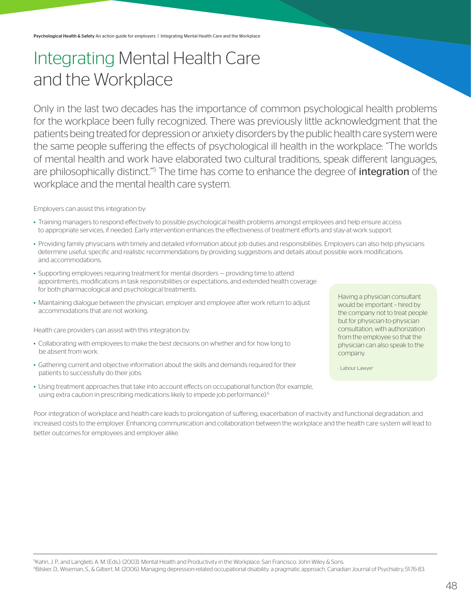## Integrating Mental Health Care and the Workplace

Only in the last two decades has the importance of common psychological health problems for the workplace been fully recognized. There was previously little acknowledgment that the patients being treated for depression or anxiety disorders by the public health care system were the same people suffering the effects of psychological ill health in the workplace: "The worlds of mental health and work have elaborated two cultural traditions, speak different languages, are philosophically distinct."<sup>5</sup> The time has come to enhance the degree of *integration* of the workplace and the mental health care system.

#### Employers can assist this integration by:

- Training managers to respond effectively to possible psychological health problems amongst employees and help ensure access to appropriate services, if needed. Early intervention enhances the effectiveness of treatment efforts and stay-at-work support.
- Providing family physicians with timely and detailed information about job duties and responsibilities. Employers can also help physicians determine useful, specific and realistic recommendations by providing suggestions and details about possible work modifications and accommodations.
- Supporting employees requiring treatment for mental disorders providing time to attend appointments, modifications in task responsibilities or expectations, and extended health coverage for both pharmacological and psychological treatments.
- Maintaining dialogue between the physician, employer and employee after work return to adjust accommodations that are not working.

Health care providers can assist with this integration by:

- Collaborating with employees to make the best decisions on whether and for how long to be absent from work.
- Gathering current and objective information about the skills and demands required for their patients to successfully do their jobs.
- Using treatment approaches that take into account effects on occupational function (for example, using extra caution in prescribing medications likely to impede job performance).6

Having a physician consultant would be important – hired by the company not to treat people but for physician-to-physician consultation, with authorization from the employee so that the physician can also speak to the company.

- Labour Lawyer

Poor integration of workplace and health care leads to prolongation of suffering, exacerbation of inactivity and functional degradation, and increased costs to the employer. Enhancing communication and collaboration between the workplace and the health care system will lead to better outcomes for employees and employer alike.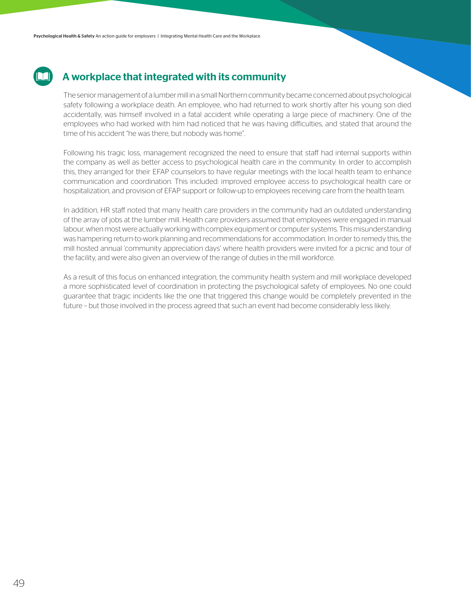### A workplace that integrated with its community

The senior management of a lumber mill in a small Northern community became concerned about psychological safety following a workplace death. An employee, who had returned to work shortly after his young son died accidentally, was himself involved in a fatal accident while operating a large piece of machinery. One of the employees who had worked with him had noticed that he was having difficulties, and stated that around the time of his accident "he was there, but nobody was home".

Following his tragic loss, management recognized the need to ensure that staff had internal supports within the company as well as better access to psychological health care in the community. In order to accomplish this, they arranged for their EFAP counselors to have regular meetings with the local health team to enhance communication and coordination. This included: improved employee access to psychological health care or hospitalization, and provision of EFAP support or follow-up to employees receiving care from the health team.

In addition, HR staff noted that many health care providers in the community had an outdated understanding of the array of jobs at the lumber mill. Health care providers assumed that employees were engaged in manual labour, when most were actually working with complex equipment or computer systems. This misunderstanding was hampering return-to-work planning and recommendations for accommodation. In order to remedy this, the mill hosted annual 'community appreciation days' where health providers were invited for a picnic and tour of the facility, and were also given an overview of the range of duties in the mill workforce.

As a result of this focus on enhanced integration, the community health system and mill workplace developed a more sophisticated level of coordination in protecting the psychological safety of employees. No one could guarantee that tragic incidents like the one that triggered this change would be completely prevented in the future – but those involved in the process agreed that such an event had become considerably less likely.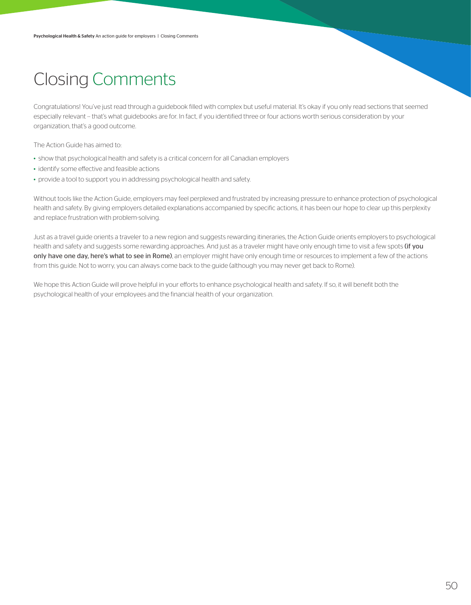## Closing Comments

Congratulations! You've just read through a guidebook filled with complex but useful material. It's okay if you only read sections that seemed especially relevant -- that's what guidebooks are for. In fact, if you identified three or four actions worth serious consideration by your organization, that's a good outcome.

The Action Guide has aimed to:

- show that psychological health and safety is a critical concern for all Canadian employers
- identify some effective and feasible actions
- provide a tool to support you in addressing psychological health and safety.

Without tools like the Action Guide, employers may feel perplexed and frustrated by increasing pressure to enhance protection of psychological health and safety. By giving employers detailed explanations accompanied by specific actions, it has been our hope to clear up this perplexity and replace frustration with problem-solving.

Just as a travel guide orients a traveler to a new region and suggests rewarding itineraries, the Action Guide orients employers to psychological health and safety and suggests some rewarding approaches. And just as a traveler might have only enough time to visit a few spots (if you only have one day, here's what to see in Rome), an employer might have only enough time or resources to implement a few of the actions from this guide. Not to worry, you can always come back to the guide (although you may never get back to Rome).

We hope this Action Guide will prove helpful in your efforts to enhance psychological health and safety. If so, it will benefit both the psychological health of your employees and the financial health of your organization.